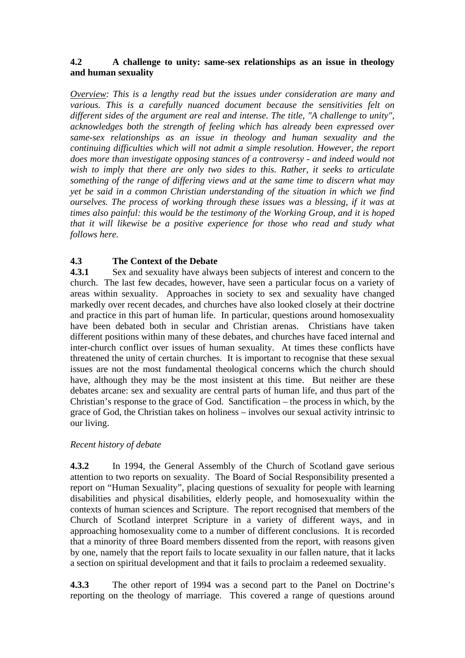#### **4.2 A challenge to unity: same-sex relationships as an issue in theology and human sexuality**

*Overview: This is a lengthy read but the issues under consideration are many and various. This is a carefully nuanced document because the sensitivities felt on different sides of the argument are real and intense. The title, "A challenge to unity", acknowledges both the strength of feeling which has already been expressed over same-sex relationships as an issue in theology and human sexuality and the continuing difficulties which will not admit a simple resolution. However, the report does more than investigate opposing stances of a controversy - and indeed would not wish to imply that there are only two sides to this. Rather, it seeks to articulate something of the range of differing views and at the same time to discern what may yet be said in a common Christian understanding of the situation in which we find ourselves. The process of working through these issues was a blessing, if it was at times also painful: this would be the testimony of the Working Group, and it is hoped that it will likewise be a positive experience for those who read and study what follows here.* 

## **4.3 The Context of the Debate**

**4.3.1** Sex and sexuality have always been subjects of interest and concern to the church. The last few decades, however, have seen a particular focus on a variety of areas within sexuality. Approaches in society to sex and sexuality have changed markedly over recent decades, and churches have also looked closely at their doctrine and practice in this part of human life. In particular, questions around homosexuality have been debated both in secular and Christian arenas. Christians have taken different positions within many of these debates, and churches have faced internal and inter-church conflict over issues of human sexuality. At times these conflicts have threatened the unity of certain churches. It is important to recognise that these sexual issues are not the most fundamental theological concerns which the church should have, although they may be the most insistent at this time. But neither are these debates arcane: sex and sexuality are central parts of human life, and thus part of the Christian's response to the grace of God. Sanctification – the process in which, by the grace of God, the Christian takes on holiness – involves our sexual activity intrinsic to our living.

#### *Recent history of debate*

**4.3.2** In 1994, the General Assembly of the Church of Scotland gave serious attention to two reports on sexuality. The Board of Social Responsibility presented a report on "Human Sexuality", placing questions of sexuality for people with learning disabilities and physical disabilities, elderly people, and homosexuality within the contexts of human sciences and Scripture. The report recognised that members of the Church of Scotland interpret Scripture in a variety of different ways, and in approaching homosexuality come to a number of different conclusions. It is recorded that a minority of three Board members dissented from the report, with reasons given by one, namely that the report fails to locate sexuality in our fallen nature, that it lacks a section on spiritual development and that it fails to proclaim a redeemed sexuality.

**4.3.3** The other report of 1994 was a second part to the Panel on Doctrine's reporting on the theology of marriage. This covered a range of questions around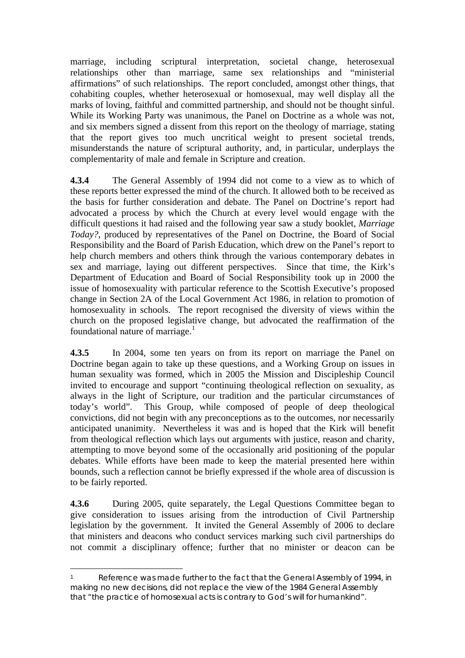marriage, including scriptural interpretation, societal change, heterosexual relationships other than marriage, same sex relationships and "ministerial affirmations" of such relationships. The report concluded, amongst other things, that cohabiting couples, whether heterosexual or homosexual, may well display all the marks of loving, faithful and committed partnership, and should not be thought sinful. While its Working Party was unanimous, the Panel on Doctrine as a whole was not, and six members signed a dissent from this report on the theology of marriage, stating that the report gives too much uncritical weight to present societal trends, misunderstands the nature of scriptural authority, and, in particular, underplays the complementarity of male and female in Scripture and creation.

**4.3.4** The General Assembly of 1994 did not come to a view as to which of these reports better expressed the mind of the church. It allowed both to be received as the basis for further consideration and debate. The Panel on Doctrine's report had advocated a process by which the Church at every level would engage with the difficult questions it had raised and the following year saw a study booklet, *Marriage Today?*, produced by representatives of the Panel on Doctrine, the Board of Social Responsibility and the Board of Parish Education, which drew on the Panel's report to help church members and others think through the various contemporary debates in sex and marriage, laying out different perspectives. Since that time, the Kirk's Department of Education and Board of Social Responsibility took up in 2000 the issue of homosexuality with particular reference to the Scottish Executive's proposed change in Section 2A of the Local Government Act 1986, in relation to promotion of homosexuality in schools. The report recognised the diversity of views within the church on the proposed legislative change, but advocated the reaffirmation of the foundational nature of marriage. $\frac{1}{1}$  $\frac{1}{1}$  $\frac{1}{1}$ 

**4.3.5** In 2004, some ten years on from its report on marriage the Panel on Doctrine began again to take up these questions, and a Working Group on issues in human sexuality was formed, which in 2005 the Mission and Discipleship Council invited to encourage and support "continuing theological reflection on sexuality, as always in the light of Scripture, our tradition and the particular circumstances of today's world". This Group, while composed of people of deep theological convictions, did not begin with any preconceptions as to the outcomes, nor necessarily anticipated unanimity. Nevertheless it was and is hoped that the Kirk will benefit from theological reflection which lays out arguments with justice, reason and charity, attempting to move beyond some of the occasionally arid positioning of the popular debates. While efforts have been made to keep the material presented here within bounds, such a reflection cannot be briefly expressed if the whole area of discussion is to be fairly reported.

**4.3.6** During 2005, quite separately, the Legal Questions Committee began to give consideration to issues arising from the introduction of Civil Partnership legislation by the government. It invited the General Assembly of 2006 to declare that ministers and deacons who conduct services marking such civil partnerships do not commit a disciplinary offence; further that no minister or deacon can be

<span id="page-1-0"></span><sup>1</sup> Reference was made further to the fact that the General Assembly of 1994, in making no new decisions, did not replace the view of the 1984 General Assembly that "the practice of homosexual acts is contrary to God's will for humankind".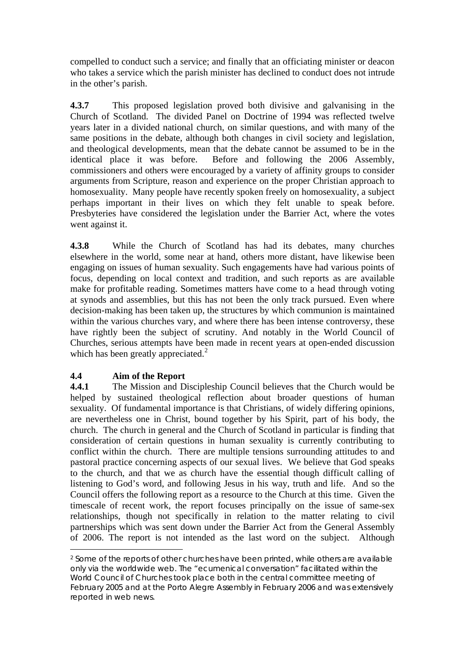compelled to conduct such a service; and finally that an officiating minister or deacon who takes a service which the parish minister has declined to conduct does not intrude in the other's parish.

**4.3.7** This proposed legislation proved both divisive and galvanising in the Church of Scotland. The divided Panel on Doctrine of 1994 was reflected twelve years later in a divided national church, on similar questions, and with many of the same positions in the debate, although both changes in civil society and legislation, and theological developments, mean that the debate cannot be assumed to be in the identical place it was before. Before and following the 2006 Assembly, commissioners and others were encouraged by a variety of affinity groups to consider arguments from Scripture, reason and experience on the proper Christian approach to homosexuality. Many people have recently spoken freely on homosexuality, a subject perhaps important in their lives on which they felt unable to speak before. Presbyteries have considered the legislation under the Barrier Act, where the votes went against it.

**4.3.8** While the Church of Scotland has had its debates, many churches elsewhere in the world, some near at hand, others more distant, have likewise been engaging on issues of human sexuality. Such engagements have had various points of focus, depending on local context and tradition, and such reports as are available make for profitable reading. Sometimes matters have come to a head through voting at synods and assemblies, but this has not been the only track pursued. Even where decision-making has been taken up, the structures by which communion is maintained within the various churches vary, and where there has been intense controversy, these have rightly been the subject of scrutiny. And notably in the World Council of Churches, serious attempts have been made in recent years at open-ended discussion which has been greatly appreciated. $^{2}$  $^{2}$  $^{2}$ 

## **4.4 Aim of the Report**

<u>.</u>

**4.4.1** The Mission and Discipleship Council believes that the Church would be helped by sustained theological reflection about broader questions of human sexuality. Of fundamental importance is that Christians, of widely differing opinions, are nevertheless one in Christ, bound together by his Spirit, part of his body, the church. The church in general and the Church of Scotland in particular is finding that consideration of certain questions in human sexuality is currently contributing to conflict within the church. There are multiple tensions surrounding attitudes to and pastoral practice concerning aspects of our sexual lives. We believe that God speaks to the church, and that we as church have the essential though difficult calling of listening to God's word, and following Jesus in his way, truth and life. And so the Council offers the following report as a resource to the Church at this time. Given the timescale of recent work, the report focuses principally on the issue of same-sex relationships, though not specifically in relation to the matter relating to civil partnerships which was sent down under the Barrier Act from the General Assembly of 2006. The report is not intended as the last word on the subject. Although

<span id="page-2-0"></span><sup>2</sup> Some of the reports of other churches have been printed, while others are available only via the worldwide web. The "ecumenical conversation" facilitated within the World Council of Churches took place both in the central committee meeting of February 2005 and at the Porto Alegre Assembly in February 2006 and was extensively reported in web news.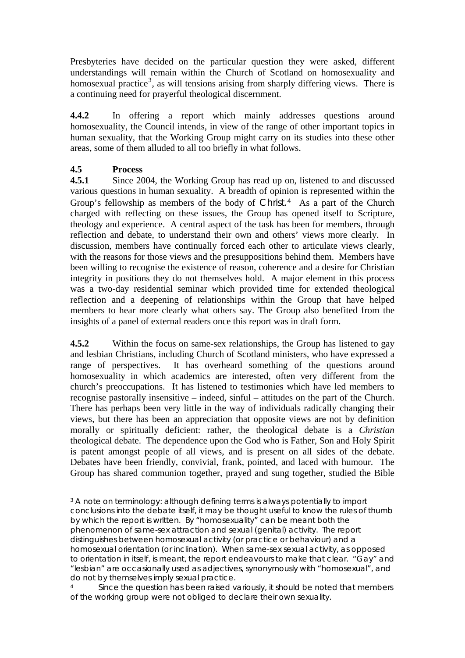Presbyteries have decided on the particular question they were asked, different understandings will remain within the Church of Scotland on homosexuality and homosexual practice<sup>[3](#page-3-0)</sup>, as will tensions arising from sharply differing views. There is a continuing need for prayerful theological discernment.

**4.4.2** In offering a report which mainly addresses questions around homosexuality, the Council intends, in view of the range of other important topics in human sexuality, that the Working Group might carry on its studies into these other areas, some of them alluded to all too briefly in what follows.

### **4.5 Process**

1

**4.5.1** Since 2004, the Working Group has read up on, listened to and discussed various questions in human sexuality. A breadth of opinion is represented within the Group's fellowship as members of the body of Christ.[4](#page-3-1) As a part of the Church charged with reflecting on these issues, the Group has opened itself to Scripture, theology and experience. A central aspect of the task has been for members, through reflection and debate, to understand their own and others' views more clearly. In discussion, members have continually forced each other to articulate views clearly, with the reasons for those views and the presuppositions behind them. Members have been willing to recognise the existence of reason, coherence and a desire for Christian integrity in positions they do not themselves hold. A major element in this process was a two-day residential seminar which provided time for extended theological reflection and a deepening of relationships within the Group that have helped members to hear more clearly what others say. The Group also benefited from the insights of a panel of external readers once this report was in draft form.

**4.5.2** Within the focus on same-sex relationships, the Group has listened to gay and lesbian Christians, including Church of Scotland ministers, who have expressed a range of perspectives. It has overheard something of the questions around homosexuality in which academics are interested, often very different from the church's preoccupations. It has listened to testimonies which have led members to recognise pastorally insensitive – indeed, sinful – attitudes on the part of the Church. There has perhaps been very little in the way of individuals radically changing their views, but there has been an appreciation that opposite views are not by definition morally or spiritually deficient: rather, the theological debate is a *Christian* theological debate. The dependence upon the God who is Father, Son and Holy Spirit is patent amongst people of all views, and is present on all sides of the debate. Debates have been friendly, convivial, frank, pointed, and laced with humour. The Group has shared communion together, prayed and sung together, studied the Bible

<span id="page-3-0"></span><sup>3</sup> A note on terminology: although defining terms is always potentially to import conclusions into the debate itself, it may be thought useful to know the rules of thumb by which the report is written. By "homosexuality" can be meant both the phenomenon of same-sex attraction and sexual (genital) activity. The report distinguishes between homosexual activity (or practice or behaviour) and a homosexual orientation (or inclination). When same-sex sexual activity, as opposed to orientation in itself, is meant, the report endeavours to make that clear. "Gay" and "lesbian" are occasionally used as adjectives, synonymously with "homosexual", and do not by themselves imply sexual practice.

<span id="page-3-1"></span>Since the question has been raised variously, it should be noted that members of the working group were not obliged to declare their own sexuality.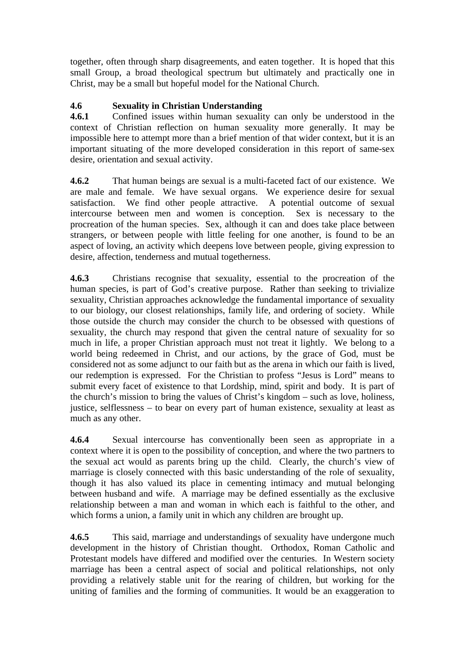together, often through sharp disagreements, and eaten together. It is hoped that this small Group, a broad theological spectrum but ultimately and practically one in Christ, may be a small but hopeful model for the National Church.

## **4.6 Sexuality in Christian Understanding**

**4.6.1** Confined issues within human sexuality can only be understood in the context of Christian reflection on human sexuality more generally. It may be impossible here to attempt more than a brief mention of that wider context, but it is an important situating of the more developed consideration in this report of same-sex desire, orientation and sexual activity.

**4.6.2** That human beings are sexual is a multi-faceted fact of our existence. We are male and female. We have sexual organs. We experience desire for sexual satisfaction. We find other people attractive. A potential outcome of sexual intercourse between men and women is conception. Sex is necessary to the procreation of the human species. Sex, although it can and does take place between strangers, or between people with little feeling for one another, is found to be an aspect of loving, an activity which deepens love between people, giving expression to desire, affection, tenderness and mutual togetherness.

**4.6.3** Christians recognise that sexuality, essential to the procreation of the human species, is part of God's creative purpose. Rather than seeking to trivialize sexuality, Christian approaches acknowledge the fundamental importance of sexuality to our biology, our closest relationships, family life, and ordering of society. While those outside the church may consider the church to be obsessed with questions of sexuality, the church may respond that given the central nature of sexuality for so much in life, a proper Christian approach must not treat it lightly. We belong to a world being redeemed in Christ, and our actions, by the grace of God, must be considered not as some adjunct to our faith but as the arena in which our faith is lived, our redemption is expressed. For the Christian to profess "Jesus is Lord" means to submit every facet of existence to that Lordship, mind, spirit and body. It is part of the church's mission to bring the values of Christ's kingdom – such as love, holiness, justice, selflessness – to bear on every part of human existence, sexuality at least as much as any other.

**4.6.4** Sexual intercourse has conventionally been seen as appropriate in a context where it is open to the possibility of conception, and where the two partners to the sexual act would as parents bring up the child. Clearly, the church's view of marriage is closely connected with this basic understanding of the role of sexuality, though it has also valued its place in cementing intimacy and mutual belonging between husband and wife. A marriage may be defined essentially as the exclusive relationship between a man and woman in which each is faithful to the other, and which forms a union, a family unit in which any children are brought up.

**4.6.5** This said, marriage and understandings of sexuality have undergone much development in the history of Christian thought. Orthodox, Roman Catholic and Protestant models have differed and modified over the centuries. In Western society marriage has been a central aspect of social and political relationships, not only providing a relatively stable unit for the rearing of children, but working for the uniting of families and the forming of communities. It would be an exaggeration to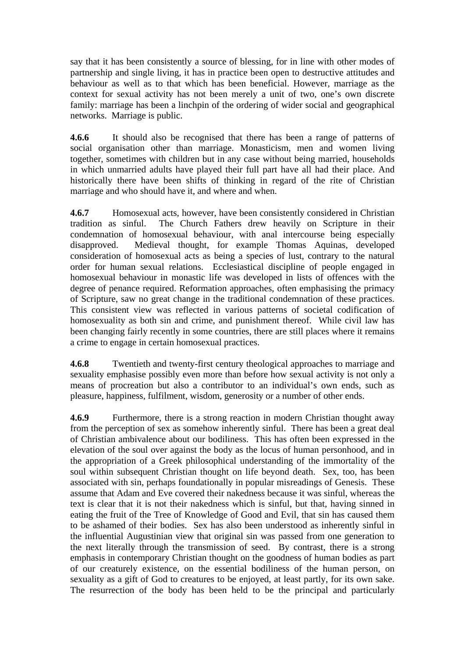say that it has been consistently a source of blessing, for in line with other modes of partnership and single living, it has in practice been open to destructive attitudes and behaviour as well as to that which has been beneficial. However, marriage as the context for sexual activity has not been merely a unit of two, one's own discrete family: marriage has been a linchpin of the ordering of wider social and geographical networks. Marriage is public.

**4.6.6** It should also be recognised that there has been a range of patterns of social organisation other than marriage. Monasticism, men and women living together, sometimes with children but in any case without being married, households in which unmarried adults have played their full part have all had their place. And historically there have been shifts of thinking in regard of the rite of Christian marriage and who should have it, and where and when.

**4.6.7** Homosexual acts, however, have been consistently considered in Christian tradition as sinful. The Church Fathers drew heavily on Scripture in their condemnation of homosexual behaviour, with anal intercourse being especially disapproved. Medieval thought, for example Thomas Aquinas, developed consideration of homosexual acts as being a species of lust, contrary to the natural order for human sexual relations. Ecclesiastical discipline of people engaged in homosexual behaviour in monastic life was developed in lists of offences with the degree of penance required. Reformation approaches, often emphasising the primacy of Scripture, saw no great change in the traditional condemnation of these practices. This consistent view was reflected in various patterns of societal codification of homosexuality as both sin and crime, and punishment thereof. While civil law has been changing fairly recently in some countries, there are still places where it remains a crime to engage in certain homosexual practices.

**4.6.8** Twentieth and twenty-first century theological approaches to marriage and sexuality emphasise possibly even more than before how sexual activity is not only a means of procreation but also a contributor to an individual's own ends, such as pleasure, happiness, fulfilment, wisdom, generosity or a number of other ends.

**4.6.9** Furthermore, there is a strong reaction in modern Christian thought away from the perception of sex as somehow inherently sinful. There has been a great deal of Christian ambivalence about our bodiliness. This has often been expressed in the elevation of the soul over against the body as the locus of human personhood, and in the appropriation of a Greek philosophical understanding of the immortality of the soul within subsequent Christian thought on life beyond death. Sex, too, has been associated with sin, perhaps foundationally in popular misreadings of Genesis. These assume that Adam and Eve covered their nakedness because it was sinful, whereas the text is clear that it is not their nakedness which is sinful, but that, having sinned in eating the fruit of the Tree of Knowledge of Good and Evil, that sin has caused them to be ashamed of their bodies. Sex has also been understood as inherently sinful in the influential Augustinian view that original sin was passed from one generation to the next literally through the transmission of seed. By contrast, there is a strong emphasis in contemporary Christian thought on the goodness of human bodies as part of our creaturely existence, on the essential bodiliness of the human person, on sexuality as a gift of God to creatures to be enjoyed, at least partly, for its own sake. The resurrection of the body has been held to be the principal and particularly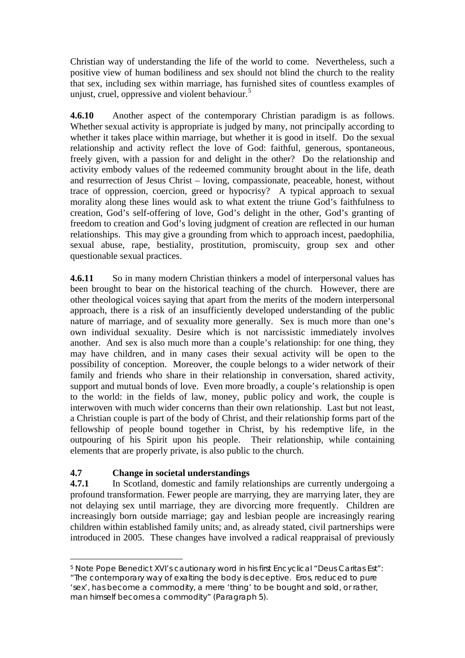Christian way of understanding the life of the world to come. Nevertheless, such a positive view of human bodiliness and sex should not blind the church to the reality that sex, including sex within marriage, has furnished sites of countless examples of unjust, cruel, oppressive and violent behaviour. $5$ 

**4.6.10** Another aspect of the contemporary Christian paradigm is as follows. Whether sexual activity is appropriate is judged by many, not principally according to whether it takes place within marriage, but whether it is good in itself. Do the sexual relationship and activity reflect the love of God: faithful, generous, spontaneous, freely given, with a passion for and delight in the other? Do the relationship and activity embody values of the redeemed community brought about in the life, death and resurrection of Jesus Christ – loving, compassionate, peaceable, honest, without trace of oppression, coercion, greed or hypocrisy? A typical approach to sexual morality along these lines would ask to what extent the triune God's faithfulness to creation, God's self-offering of love, God's delight in the other, God's granting of freedom to creation and God's loving judgment of creation are reflected in our human relationships. This may give a grounding from which to approach incest, paedophilia, sexual abuse, rape, bestiality, prostitution, promiscuity, group sex and other questionable sexual practices.

**4.6.11** So in many modern Christian thinkers a model of interpersonal values has been brought to bear on the historical teaching of the church. However, there are other theological voices saying that apart from the merits of the modern interpersonal approach, there is a risk of an insufficiently developed understanding of the public nature of marriage, and of sexuality more generally. Sex is much more than one's own individual sexuality. Desire which is not narcissistic immediately involves another. And sex is also much more than a couple's relationship: for one thing, they may have children, and in many cases their sexual activity will be open to the possibility of conception. Moreover, the couple belongs to a wider network of their family and friends who share in their relationship in conversation, shared activity, support and mutual bonds of love. Even more broadly, a couple's relationship is open to the world: in the fields of law, money, public policy and work, the couple is interwoven with much wider concerns than their own relationship. Last but not least, a Christian couple is part of the body of Christ, and their relationship forms part of the fellowship of people bound together in Christ, by his redemptive life, in the outpouring of his Spirit upon his people. Their relationship, while containing elements that are properly private, is also public to the church.

## **4.7 Change in societal understandings**

1

**4.7.1** In Scotland, domestic and family relationships are currently undergoing a profound transformation. Fewer people are marrying, they are marrying later, they are not delaying sex until marriage, they are divorcing more frequently. Children are increasingly born outside marriage; gay and lesbian people are increasingly rearing children within established family units; and, as already stated, civil partnerships were introduced in 2005. These changes have involved a radical reappraisal of previously

<span id="page-6-0"></span><sup>5</sup> Note Pope Benedict XVI's cautionary word in his first Encyclical "Deus Caritas Est":

<sup>&</sup>quot;The contemporary way of exalting the body is deceptive. Eros, reduced to pure 'sex', has become a commodity, a mere 'thing' to be bought and sold, or rather, man himself becomes a commodity" (Paragraph 5).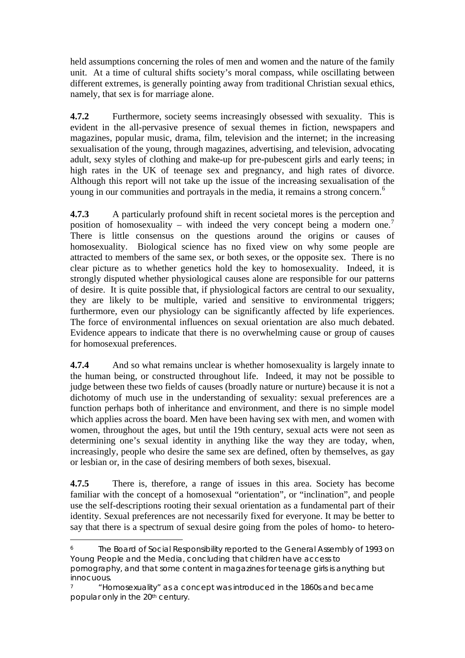held assumptions concerning the roles of men and women and the nature of the family unit. At a time of cultural shifts society's moral compass, while oscillating between different extremes, is generally pointing away from traditional Christian sexual ethics, namely, that sex is for marriage alone.

**4.7.2** Furthermore, society seems increasingly obsessed with sexuality. This is evident in the all-pervasive presence of sexual themes in fiction, newspapers and magazines, popular music, drama, film, television and the internet; in the increasing sexualisation of the young, through magazines, advertising, and television, advocating adult, sexy styles of clothing and make-up for pre-pubescent girls and early teens; in high rates in the UK of teenage sex and pregnancy, and high rates of divorce. Although this report will not take up the issue of the increasing sexualisation of the young in our communities and portrayals in the media, it remains a strong concern.<sup>[6](#page-7-0)</sup>

**4.7.3** A particularly profound shift in recent societal mores is the perception and position of homosexuality – with indeed the very concept being a modern one.<sup>[7](#page-7-1)</sup> There is little consensus on the questions around the origins or causes of homosexuality. Biological science has no fixed view on why some people are attracted to members of the same sex, or both sexes, or the opposite sex. There is no clear picture as to whether genetics hold the key to homosexuality. Indeed, it is strongly disputed whether physiological causes alone are responsible for our patterns of desire. It is quite possible that, if physiological factors are central to our sexuality, they are likely to be multiple, varied and sensitive to environmental triggers; furthermore, even our physiology can be significantly affected by life experiences. The force of environmental influences on sexual orientation are also much debated. Evidence appears to indicate that there is no overwhelming cause or group of causes for homosexual preferences.

**4.7.4** And so what remains unclear is whether homosexuality is largely innate to the human being, or constructed throughout life. Indeed, it may not be possible to judge between these two fields of causes (broadly nature or nurture) because it is not a dichotomy of much use in the understanding of sexuality: sexual preferences are a function perhaps both of inheritance and environment, and there is no simple model which applies across the board. Men have been having sex with men, and women with women, throughout the ages, but until the 19th century, sexual acts were not seen as determining one's sexual identity in anything like the way they are today, when, increasingly, people who desire the same sex are defined, often by themselves, as gay or lesbian or, in the case of desiring members of both sexes, bisexual.

**4.7.5** There is, therefore, a range of issues in this area. Society has become familiar with the concept of a homosexual "orientation", or "inclination", and people use the self-descriptions rooting their sexual orientation as a fundamental part of their identity. Sexual preferences are not necessarily fixed for everyone. It may be better to say that there is a spectrum of sexual desire going from the poles of homo- to hetero-

<span id="page-7-0"></span><sup>6</sup> The Board of Social Responsibility reported to the General Assembly of 1993 on Young People and the Media, concluding that children have access to pornography, and that some content in magazines for teenage girls is anything but

innocuous.

<span id="page-7-1"></span><sup>7 &</sup>quot;Homosexuality" as a concept was introduced in the 1860s and became popular only in the 20<sup>th</sup> century.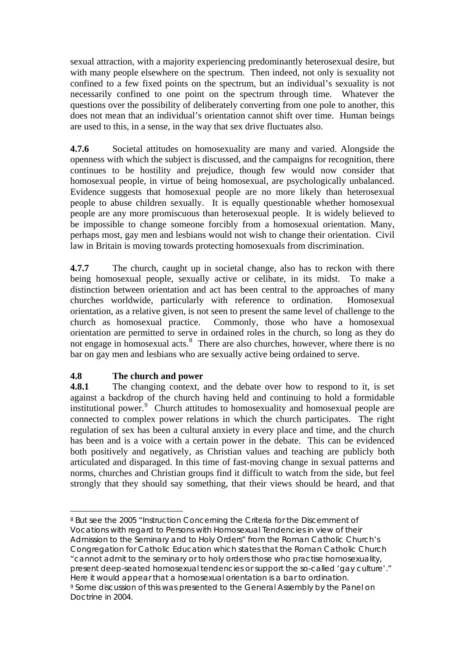sexual attraction, with a majority experiencing predominantly heterosexual desire, but with many people elsewhere on the spectrum. Then indeed, not only is sexuality not confined to a few fixed points on the spectrum, but an individual's sexuality is not necessarily confined to one point on the spectrum through time. Whatever the questions over the possibility of deliberately converting from one pole to another, this does not mean that an individual's orientation cannot shift over time. Human beings are used to this, in a sense, in the way that sex drive fluctuates also.

**4.7.6** Societal attitudes on homosexuality are many and varied. Alongside the openness with which the subject is discussed, and the campaigns for recognition, there continues to be hostility and prejudice, though few would now consider that homosexual people, in virtue of being homosexual, are psychologically unbalanced. Evidence suggests that homosexual people are no more likely than heterosexual people to abuse children sexually. It is equally questionable whether homosexual people are any more promiscuous than heterosexual people. It is widely believed to be impossible to change someone forcibly from a homosexual orientation. Many, perhaps most, gay men and lesbians would not wish to change their orientation. Civil law in Britain is moving towards protecting homosexuals from discrimination.

**4.7.7** The church, caught up in societal change, also has to reckon with there being homosexual people, sexually active or celibate, in its midst. To make a distinction between orientation and act has been central to the approaches of many churches worldwide, particularly with reference to ordination. Homosexual orientation, as a relative given, is not seen to present the same level of challenge to the church as homosexual practice. Commonly, those who have a homosexual orientation are permitted to serve in ordained roles in the church, so long as they do not engage in homosexual acts.<sup>[8](#page-8-0)</sup> There are also churches, however, where there is no bar on gay men and lesbians who are sexually active being ordained to serve.

## **4.8 The church and power**

**4.8.1** The changing context, and the debate over how to respond to it, is set against a backdrop of the church having held and continuing to hold a formidable institutional power.<sup>[9](#page-8-1)</sup> Church attitudes to homosexuality and homosexual people are connected to complex power relations in which the church participates. The right regulation of sex has been a cultural anxiety in every place and time, and the church has been and is a voice with a certain power in the debate. This can be evidenced both positively and negatively, as Christian values and teaching are publicly both articulated and disparaged. In this time of fast-moving change in sexual patterns and norms, churches and Christian groups find it difficult to watch from the side, but feel strongly that they should say something, that their views should be heard, and that

<span id="page-8-1"></span><span id="page-8-0"></span><sup>1</sup> 8 But see the 2005 "Instruction Concerning the Criteria for the Discernment of Vocations with regard to Persons with Homosexual Tendencies in view of their Admission to the Seminary and to Holy Orders" from the Roman Catholic Church's Congregation for Catholic Education which states that the Roman Catholic Church "cannot admit to the seminary or to holy orders those who practise homosexuality, present deep-seated homosexual tendencies or support the so-called 'gay culture'." Here it would appear that a homosexual orientation is a bar to ordination. 9 Some discussion of this was presented to the General Assembly by the Panel on Doctrine in 2004.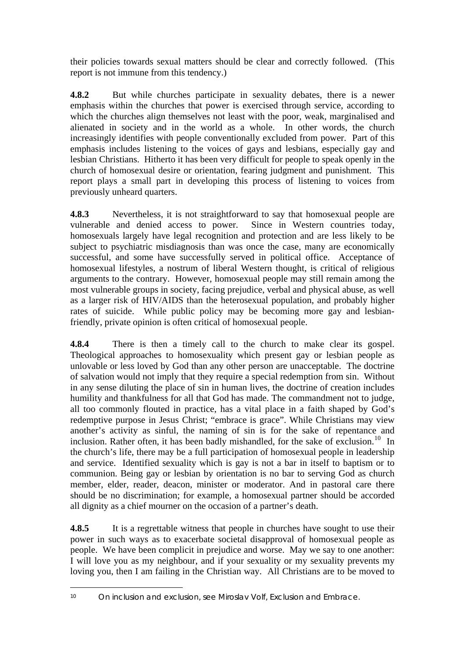their policies towards sexual matters should be clear and correctly followed. (This report is not immune from this tendency.)

**4.8.2** But while churches participate in sexuality debates, there is a newer emphasis within the churches that power is exercised through service, according to which the churches align themselves not least with the poor, weak, marginalised and alienated in society and in the world as a whole. In other words, the church increasingly identifies with people conventionally excluded from power. Part of this emphasis includes listening to the voices of gays and lesbians, especially gay and lesbian Christians. Hitherto it has been very difficult for people to speak openly in the church of homosexual desire or orientation, fearing judgment and punishment. This report plays a small part in developing this process of listening to voices from previously unheard quarters.

**4.8.3** Nevertheless, it is not straightforward to say that homosexual people are vulnerable and denied access to power. Since in Western countries today, homosexuals largely have legal recognition and protection and are less likely to be subject to psychiatric misdiagnosis than was once the case, many are economically successful, and some have successfully served in political office. Acceptance of homosexual lifestyles, a nostrum of liberal Western thought, is critical of religious arguments to the contrary. However, homosexual people may still remain among the most vulnerable groups in society, facing prejudice, verbal and physical abuse, as well as a larger risk of HIV/AIDS than the heterosexual population, and probably higher rates of suicide.While public policy may be becoming more gay and lesbianfriendly, private opinion is often critical of homosexual people.

**4.8.4** There is then a timely call to the church to make clear its gospel. Theological approaches to homosexuality which present gay or lesbian people as unlovable or less loved by God than any other person are unacceptable. The doctrine of salvation would not imply that they require a special redemption from sin. Without in any sense diluting the place of sin in human lives, the doctrine of creation includes humility and thankfulness for all that God has made. The commandment not to judge, all too commonly flouted in practice, has a vital place in a faith shaped by God's redemptive purpose in Jesus Christ; "embrace is grace". While Christians may view another's activity as sinful, the naming of sin is for the sake of repentance and inclusion. Rather often, it has been badly mishandled, for the sake of exclusion.<sup>[10](#page-9-0)</sup> In the church's life, there may be a full participation of homosexual people in leadership and service. Identified sexuality which is gay is not a bar in itself to baptism or to communion. Being gay or lesbian by orientation is no bar to serving God as church member, elder, reader, deacon, minister or moderator. And in pastoral care there should be no discrimination; for example, a homosexual partner should be accorded all dignity as a chief mourner on the occasion of a partner's death.

**4.8.5** It is a regrettable witness that people in churches have sought to use their power in such ways as to exacerbate societal disapproval of homosexual people as people. We have been complicit in prejudice and worse. May we say to one another: I will love you as my neighbour, and if your sexuality or my sexuality prevents my loving you, then I am failing in the Christian way. All Christians are to be moved to

<span id="page-9-0"></span><sup>10</sup> On inclusion and exclusion, see Miroslav Volf, *Exclusion and Embrace*.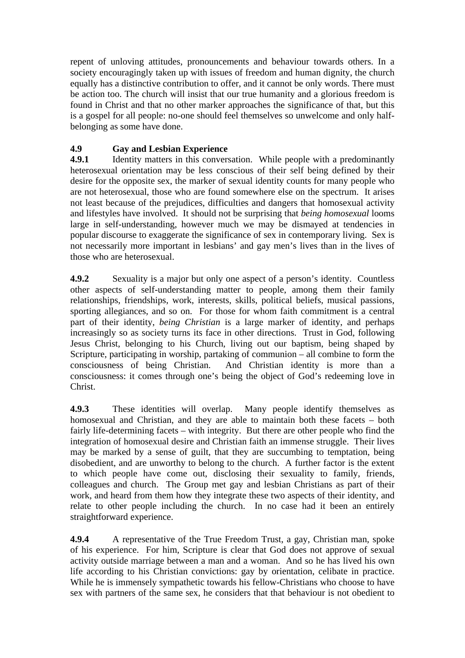repent of unloving attitudes, pronouncements and behaviour towards others. In a society encouragingly taken up with issues of freedom and human dignity, the church equally has a distinctive contribution to offer, and it cannot be only words. There must be action too. The church will insist that our true humanity and a glorious freedom is found in Christ and that no other marker approaches the significance of that, but this is a gospel for all people: no-one should feel themselves so unwelcome and only halfbelonging as some have done.

# **4.9 Gay and Lesbian Experience**

**4.9.1** Identity matters in this conversation. While people with a predominantly heterosexual orientation may be less conscious of their self being defined by their desire for the opposite sex, the marker of sexual identity counts for many people who are not heterosexual, those who are found somewhere else on the spectrum. It arises not least because of the prejudices, difficulties and dangers that homosexual activity and lifestyles have involved. It should not be surprising that *being homosexual* looms large in self-understanding, however much we may be dismayed at tendencies in popular discourse to exaggerate the significance of sex in contemporary living. Sex is not necessarily more important in lesbians' and gay men's lives than in the lives of those who are heterosexual.

**4.9.2** Sexuality is a major but only one aspect of a person's identity. Countless other aspects of self-understanding matter to people, among them their family relationships, friendships, work, interests, skills, political beliefs, musical passions, sporting allegiances, and so on. For those for whom faith commitment is a central part of their identity, *being Christian* is a large marker of identity, and perhaps increasingly so as society turns its face in other directions. Trust in God, following Jesus Christ, belonging to his Church, living out our baptism, being shaped by Scripture, participating in worship, partaking of communion – all combine to form the consciousness of being Christian. And Christian identity is more than a consciousness: it comes through one's being the object of God's redeeming love in Christ.

**4.9.3** These identities will overlap. Many people identify themselves as homosexual and Christian, and they are able to maintain both these facets – both fairly life-determining facets – with integrity. But there are other people who find the integration of homosexual desire and Christian faith an immense struggle. Their lives may be marked by a sense of guilt, that they are succumbing to temptation, being disobedient, and are unworthy to belong to the church. A further factor is the extent to which people have come out, disclosing their sexuality to family, friends, colleagues and church. The Group met gay and lesbian Christians as part of their work, and heard from them how they integrate these two aspects of their identity, and relate to other people including the church. In no case had it been an entirely straightforward experience.

**4.9.4** A representative of the True Freedom Trust, a gay, Christian man, spoke of his experience. For him, Scripture is clear that God does not approve of sexual activity outside marriage between a man and a woman. And so he has lived his own life according to his Christian convictions: gay by orientation, celibate in practice. While he is immensely sympathetic towards his fellow-Christians who choose to have sex with partners of the same sex, he considers that that behaviour is not obedient to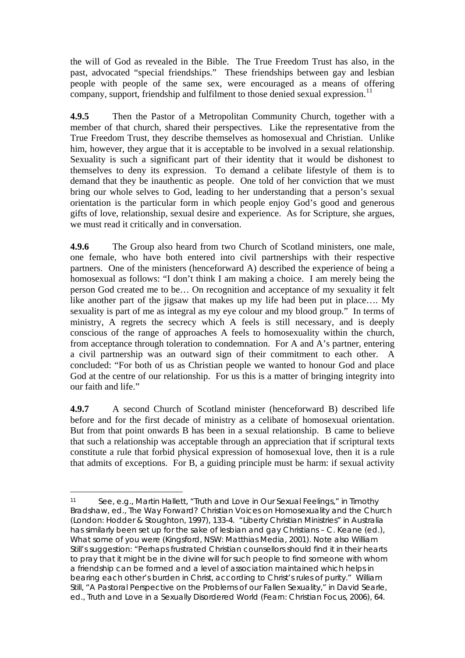the will of God as revealed in the Bible. The True Freedom Trust has also, in the past, advocated "special friendships." These friendships between gay and lesbian people with people of the same sex, were encouraged as a means of offering company, support, friendship and fulfilment to those denied sexual expression.<sup>[11](#page-11-0)</sup>

**4.9.5** Then the Pastor of a Metropolitan Community Church, together with a member of that church, shared their perspectives. Like the representative from the True Freedom Trust, they describe themselves as homosexual and Christian. Unlike him, however, they argue that it is acceptable to be involved in a sexual relationship. Sexuality is such a significant part of their identity that it would be dishonest to themselves to deny its expression. To demand a celibate lifestyle of them is to demand that they be inauthentic as people. One told of her conviction that we must bring our whole selves to God, leading to her understanding that a person's sexual orientation is the particular form in which people enjoy God's good and generous gifts of love, relationship, sexual desire and experience. As for Scripture, she argues, we must read it critically and in conversation.

**4.9.6** The Group also heard from two Church of Scotland ministers, one male, one female, who have both entered into civil partnerships with their respective partners. One of the ministers (henceforward A) described the experience of being a homosexual as follows: "I don't think I am making a choice. I am merely being the person God created me to be… On recognition and acceptance of my sexuality it felt like another part of the jigsaw that makes up my life had been put in place…. My sexuality is part of me as integral as my eye colour and my blood group." In terms of ministry, A regrets the secrecy which A feels is still necessary, and is deeply conscious of the range of approaches A feels to homosexuality within the church, from acceptance through toleration to condemnation. For A and A's partner, entering a civil partnership was an outward sign of their commitment to each other. A concluded: "For both of us as Christian people we wanted to honour God and place God at the centre of our relationship. For us this is a matter of bringing integrity into our faith and life."

**4.9.7** A second Church of Scotland minister (henceforward B) described life before and for the first decade of ministry as a celibate of homosexual orientation. But from that point onwards B has been in a sexual relationship. B came to believe that such a relationship was acceptable through an appreciation that if scriptural texts constitute a rule that forbid physical expression of homosexual love, then it is a rule that admits of exceptions. For B, a guiding principle must be harm: if sexual activity

<span id="page-11-0"></span><sup>11</sup> See, e.g., Martin Hallett, "Truth and Love in Our Sexual Feelings," in Timothy Bradshaw, ed., *The Way Forward? Christian Voices on Homosexuality and the Church* (London: Hodder & Stoughton, 1997), 133-4. "Liberty Christian Ministries" in Australia has similarly been set up for the sake of lesbian and gay Christians – C. Keane (ed.), *What some of you were* (Kingsford, NSW: Matthias Media, 2001). Note also William Still's suggestion: "Perhaps frustrated Christian counsellors should find it in their hearts to pray that it might be in the divine will for such people to find someone with whom a friendship can be formed and a level of association maintained which helps in bearing each other's burden in Christ, according to Christ's rules of purity." William Still, "A Pastoral Perspective on the Problems of our Fallen Sexuality," in David Searle, ed., *Truth and Love in a Sexually Disordered World* (Fearn: Christian Focus, 2006), 64.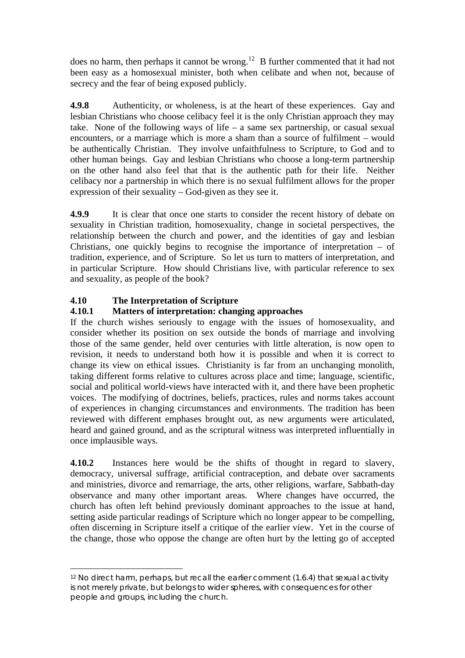does no harm, then perhaps it cannot be wrong.<sup>[12](#page-12-0)</sup> B further commented that it had not been easy as a homosexual minister, both when celibate and when not, because of secrecy and the fear of being exposed publicly.

**4.9.8** Authenticity, or wholeness, is at the heart of these experiences. Gay and lesbian Christians who choose celibacy feel it is the only Christian approach they may take. None of the following ways of life – a same sex partnership, or casual sexual encounters, or a marriage which is more a sham than a source of fulfilment – would be authentically Christian. They involve unfaithfulness to Scripture, to God and to other human beings. Gay and lesbian Christians who choose a long-term partnership on the other hand also feel that that is the authentic path for their life. Neither celibacy nor a partnership in which there is no sexual fulfilment allows for the proper expression of their sexuality – God-given as they see it.

**4.9.9** It is clear that once one starts to consider the recent history of debate on sexuality in Christian tradition, homosexuality, change in societal perspectives, the relationship between the church and power, and the identities of gay and lesbian Christians, one quickly begins to recognise the importance of interpretation – of tradition, experience, and of Scripture. So let us turn to matters of interpretation, and in particular Scripture. How should Christians live, with particular reference to sex and sexuality, as people of the book?

### **4.10 The Interpretation of Scripture**

1

### **4.10.1 Matters of interpretation: changing approaches**

If the church wishes seriously to engage with the issues of homosexuality, and consider whether its position on sex outside the bonds of marriage and involving those of the same gender, held over centuries with little alteration, is now open to revision, it needs to understand both how it is possible and when it is correct to change its view on ethical issues. Christianity is far from an unchanging monolith, taking different forms relative to cultures across place and time; language, scientific, social and political world-views have interacted with it, and there have been prophetic voices. The modifying of doctrines, beliefs, practices, rules and norms takes account of experiences in changing circumstances and environments. The tradition has been reviewed with different emphases brought out, as new arguments were articulated, heard and gained ground, and as the scriptural witness was interpreted influentially in once implausible ways.

**4.10.2** Instances here would be the shifts of thought in regard to slavery, democracy, universal suffrage, artificial contraception, and debate over sacraments and ministries, divorce and remarriage, the arts, other religions, warfare, Sabbath-day observance and many other important areas. Where changes have occurred, the church has often left behind previously dominant approaches to the issue at hand, setting aside particular readings of Scripture which no longer appear to be compelling, often discerning in Scripture itself a critique of the earlier view. Yet in the course of the change, those who oppose the change are often hurt by the letting go of accepted

<span id="page-12-0"></span><sup>12</sup> No direct harm, perhaps, but recall the earlier comment (1.6.4) that sexual activity is not merely private, but belongs to wider spheres, with consequences for other people and groups, including the church.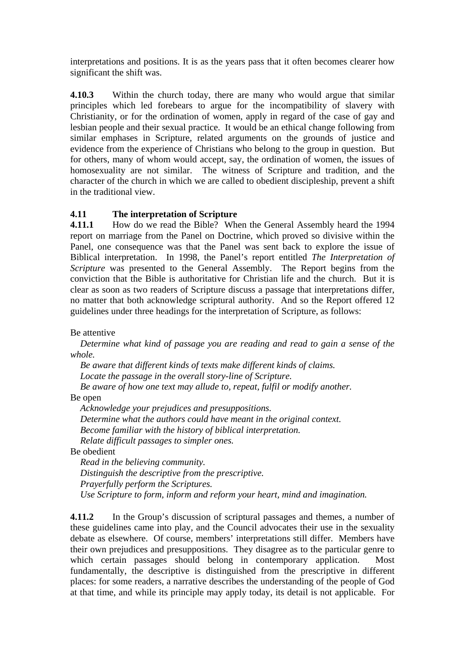interpretations and positions. It is as the years pass that it often becomes clearer how significant the shift was.

**4.10.3** Within the church today, there are many who would argue that similar principles which led forebears to argue for the incompatibility of slavery with Christianity, or for the ordination of women, apply in regard of the case of gay and lesbian people and their sexual practice. It would be an ethical change following from similar emphases in Scripture, related arguments on the grounds of justice and evidence from the experience of Christians who belong to the group in question. But for others, many of whom would accept, say, the ordination of women, the issues of homosexuality are not similar. The witness of Scripture and tradition, and the character of the church in which we are called to obedient discipleship, prevent a shift in the traditional view.

### **4.11 The interpretation of Scripture**

**4.11.1** How do we read the Bible? When the General Assembly heard the 1994 report on marriage from the Panel on Doctrine, which proved so divisive within the Panel, one consequence was that the Panel was sent back to explore the issue of Biblical interpretation. In 1998, the Panel's report entitled *The Interpretation of Scripture* was presented to the General Assembly. The Report begins from the conviction that the Bible is authoritative for Christian life and the church. But it is clear as soon as two readers of Scripture discuss a passage that interpretations differ, no matter that both acknowledge scriptural authority. And so the Report offered 12 guidelines under three headings for the interpretation of Scripture, as follows:

Be attentive

*Determine what kind of passage you are reading and read to gain a sense of the whole.* 

*Be aware that different kinds of texts make different kinds of claims. Locate the passage in the overall story-line of Scripture. Be aware of how one text may allude to, repeat, fulfil or modify another.*

Be open

*Acknowledge your prejudices and presuppositions. Determine what the authors could have meant in the original context. Become familiar with the history of biblical interpretation. Relate difficult passages to simpler ones.*

Be obedient

*Read in the believing community. Distinguish the descriptive from the prescriptive. Prayerfully perform the Scriptures. Use Scripture to form, inform and reform your heart, mind and imagination.* 

**4.11.2** In the Group's discussion of scriptural passages and themes, a number of these guidelines came into play, and the Council advocates their use in the sexuality debate as elsewhere. Of course, members' interpretations still differ. Members have their own prejudices and presuppositions. They disagree as to the particular genre to which certain passages should belong in contemporary application. Most fundamentally, the descriptive is distinguished from the prescriptive in different places: for some readers, a narrative describes the understanding of the people of God at that time, and while its principle may apply today, its detail is not applicable. For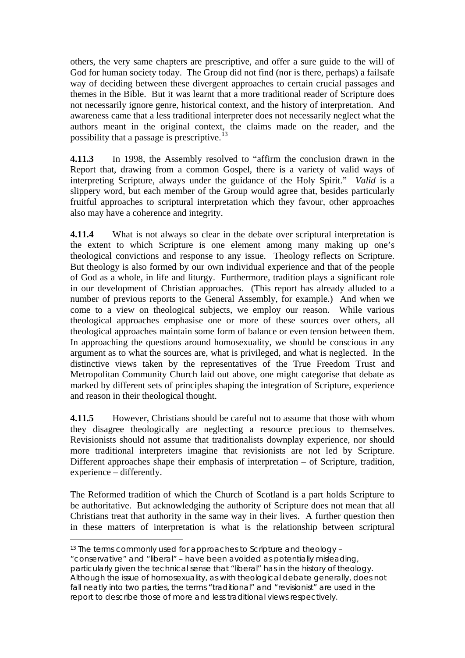others, the very same chapters are prescriptive, and offer a sure guide to the will of God for human society today. The Group did not find (nor is there, perhaps) a failsafe way of deciding between these divergent approaches to certain crucial passages and themes in the Bible. But it was learnt that a more traditional reader of Scripture does not necessarily ignore genre, historical context, and the history of interpretation. And awareness came that a less traditional interpreter does not necessarily neglect what the authors meant in the original context, the claims made on the reader, and the possibility that a passage is prescriptive.<sup>[13](#page-14-0)</sup>

**4.11.3** In 1998, the Assembly resolved to "affirm the conclusion drawn in the Report that, drawing from a common Gospel, there is a variety of valid ways of interpreting Scripture, always under the guidance of the Holy Spirit." *Valid* is a slippery word, but each member of the Group would agree that, besides particularly fruitful approaches to scriptural interpretation which they favour, other approaches also may have a coherence and integrity.

**4.11.4** What is not always so clear in the debate over scriptural interpretation is the extent to which Scripture is one element among many making up one's theological convictions and response to any issue. Theology reflects on Scripture. But theology is also formed by our own individual experience and that of the people of God as a whole, in life and liturgy. Furthermore, tradition plays a significant role in our development of Christian approaches. (This report has already alluded to a number of previous reports to the General Assembly, for example.) And when we come to a view on theological subjects, we employ our reason. While various theological approaches emphasise one or more of these sources over others, all theological approaches maintain some form of balance or even tension between them. In approaching the questions around homosexuality, we should be conscious in any argument as to what the sources are, what is privileged, and what is neglected. In the distinctive views taken by the representatives of the True Freedom Trust and Metropolitan Community Church laid out above, one might categorise that debate as marked by different sets of principles shaping the integration of Scripture, experience and reason in their theological thought.

**4.11.5** However, Christians should be careful not to assume that those with whom they disagree theologically are neglecting a resource precious to themselves. Revisionists should not assume that traditionalists downplay experience, nor should more traditional interpreters imagine that revisionists are not led by Scripture. Different approaches shape their emphasis of interpretation – of Scripture, tradition, experience – differently.

The Reformed tradition of which the Church of Scotland is a part holds Scripture to be authoritative. But acknowledging the authority of Scripture does not mean that all Christians treat that authority in the same way in their lives. A further question then in these matters of interpretation is what is the relationship between scriptural

"conservative" and "liberal" – have been avoided as potentially misleading, particularly given the technical sense that "liberal" has in the history of theology. Although the issue of homosexuality, as with theological debate generally, does not fall neatly into two parties, the terms "traditional" and "revisionist" are used in the report to describe those of more and less traditional views respectively.

<span id="page-14-0"></span><sup>1</sup> 13 The terms commonly used for approaches to Scripture and theology -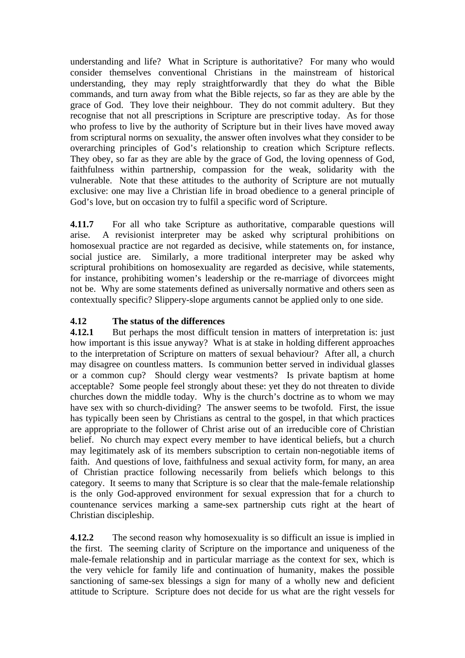understanding and life? What in Scripture is authoritative? For many who would consider themselves conventional Christians in the mainstream of historical understanding, they may reply straightforwardly that they do what the Bible commands, and turn away from what the Bible rejects, so far as they are able by the grace of God. They love their neighbour. They do not commit adultery. But they recognise that not all prescriptions in Scripture are prescriptive today. As for those who profess to live by the authority of Scripture but in their lives have moved away from scriptural norms on sexuality, the answer often involves what they consider to be overarching principles of God's relationship to creation which Scripture reflects. They obey, so far as they are able by the grace of God, the loving openness of God, faithfulness within partnership, compassion for the weak, solidarity with the vulnerable. Note that these attitudes to the authority of Scripture are not mutually exclusive: one may live a Christian life in broad obedience to a general principle of God's love, but on occasion try to fulfil a specific word of Scripture.

**4.11.7** For all who take Scripture as authoritative, comparable questions will arise. A revisionist interpreter may be asked why scriptural prohibitions on homosexual practice are not regarded as decisive, while statements on, for instance, social justice are. Similarly, a more traditional interpreter may be asked why scriptural prohibitions on homosexuality are regarded as decisive, while statements, for instance, prohibiting women's leadership or the re-marriage of divorcees might not be. Why are some statements defined as universally normative and others seen as contextually specific? Slippery-slope arguments cannot be applied only to one side.

## **4.12 The status of the differences**

**4.12.1** But perhaps the most difficult tension in matters of interpretation is: just how important is this issue anyway? What is at stake in holding different approaches to the interpretation of Scripture on matters of sexual behaviour? After all, a church may disagree on countless matters. Is communion better served in individual glasses or a common cup? Should clergy wear vestments? Is private baptism at home acceptable? Some people feel strongly about these: yet they do not threaten to divide churches down the middle today. Why is the church's doctrine as to whom we may have sex with so church-dividing? The answer seems to be twofold. First, the issue has typically been seen by Christians as central to the gospel, in that which practices are appropriate to the follower of Christ arise out of an irreducible core of Christian belief. No church may expect every member to have identical beliefs, but a church may legitimately ask of its members subscription to certain non-negotiable items of faith. And questions of love, faithfulness and sexual activity form, for many, an area of Christian practice following necessarily from beliefs which belongs to this category. It seems to many that Scripture is so clear that the male-female relationship is the only God-approved environment for sexual expression that for a church to countenance services marking a same-sex partnership cuts right at the heart of Christian discipleship.

**4.12.2** The second reason why homosexuality is so difficult an issue is implied in the first. The seeming clarity of Scripture on the importance and uniqueness of the male-female relationship and in particular marriage as the context for sex, which is the very vehicle for family life and continuation of humanity, makes the possible sanctioning of same-sex blessings a sign for many of a wholly new and deficient attitude to Scripture. Scripture does not decide for us what are the right vessels for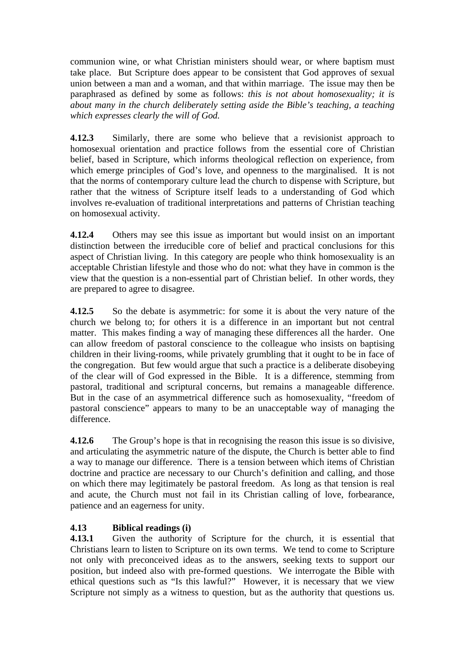communion wine, or what Christian ministers should wear, or where baptism must take place. But Scripture does appear to be consistent that God approves of sexual union between a man and a woman, and that within marriage. The issue may then be paraphrased as defined by some as follows: *this is not about homosexuality; it is about many in the church deliberately setting aside the Bible's teaching, a teaching which expresses clearly the will of God.* 

**4.12.3** Similarly, there are some who believe that a revisionist approach to homosexual orientation and practice follows from the essential core of Christian belief, based in Scripture, which informs theological reflection on experience, from which emerge principles of God's love, and openness to the marginalised. It is not that the norms of contemporary culture lead the church to dispense with Scripture, but rather that the witness of Scripture itself leads to a understanding of God which involves re-evaluation of traditional interpretations and patterns of Christian teaching on homosexual activity.

**4.12.4** Others may see this issue as important but would insist on an important distinction between the irreducible core of belief and practical conclusions for this aspect of Christian living. In this category are people who think homosexuality is an acceptable Christian lifestyle and those who do not: what they have in common is the view that the question is a non-essential part of Christian belief. In other words, they are prepared to agree to disagree.

**4.12.5** So the debate is asymmetric: for some it is about the very nature of the church we belong to; for others it is a difference in an important but not central matter. This makes finding a way of managing these differences all the harder. One can allow freedom of pastoral conscience to the colleague who insists on baptising children in their living-rooms, while privately grumbling that it ought to be in face of the congregation. But few would argue that such a practice is a deliberate disobeying of the clear will of God expressed in the Bible. It is a difference, stemming from pastoral, traditional and scriptural concerns, but remains a manageable difference. But in the case of an asymmetrical difference such as homosexuality, "freedom of pastoral conscience" appears to many to be an unacceptable way of managing the difference.

**4.12.6** The Group's hope is that in recognising the reason this issue is so divisive, and articulating the asymmetric nature of the dispute, the Church is better able to find a way to manage our difference. There is a tension between which items of Christian doctrine and practice are necessary to our Church's definition and calling, and those on which there may legitimately be pastoral freedom. As long as that tension is real and acute, the Church must not fail in its Christian calling of love, forbearance, patience and an eagerness for unity.

## **4.13 Biblical readings (i)**

**4.13.1** Given the authority of Scripture for the church, it is essential that Christians learn to listen to Scripture on its own terms. We tend to come to Scripture not only with preconceived ideas as to the answers, seeking texts to support our position, but indeed also with pre-formed questions. We interrogate the Bible with ethical questions such as "Is this lawful?" However, it is necessary that we view Scripture not simply as a witness to question, but as the authority that questions us.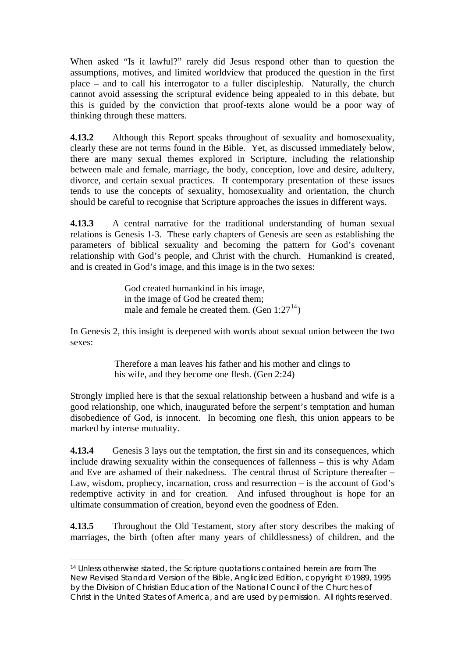When asked "Is it lawful?" rarely did Jesus respond other than to question the assumptions, motives, and limited worldview that produced the question in the first place – and to call his interrogator to a fuller discipleship. Naturally, the church cannot avoid assessing the scriptural evidence being appealed to in this debate, but this is guided by the conviction that proof-texts alone would be a poor way of thinking through these matters.

**4.13.2** Although this Report speaks throughout of sexuality and homosexuality, clearly these are not terms found in the Bible. Yet, as discussed immediately below, there are many sexual themes explored in Scripture, including the relationship between male and female, marriage, the body, conception, love and desire, adultery, divorce, and certain sexual practices. If contemporary presentation of these issues tends to use the concepts of sexuality, homosexuality and orientation, the church should be careful to recognise that Scripture approaches the issues in different ways.

**4.13.3** A central narrative for the traditional understanding of human sexual relations is Genesis 1-3. These early chapters of Genesis are seen as establishing the parameters of biblical sexuality and becoming the pattern for God's covenant relationship with God's people, and Christ with the church. Humankind is created, and is created in God's image, and this image is in the two sexes:

> God created humankind in his image, in the image of God he created them; male and female he created them. (Gen  $1:27^{14}$  $1:27^{14}$  $1:27^{14}$ )

In Genesis 2, this insight is deepened with words about sexual union between the two sexes:

> Therefore a man leaves his father and his mother and clings to his wife, and they become one flesh. (Gen 2:24)

Strongly implied here is that the sexual relationship between a husband and wife is a good relationship, one which, inaugurated before the serpent's temptation and human disobedience of God, is innocent. In becoming one flesh, this union appears to be marked by intense mutuality.

**4.13.4** Genesis 3 lays out the temptation, the first sin and its consequences, which include drawing sexuality within the consequences of fallenness – this is why Adam and Eve are ashamed of their nakedness. The central thrust of Scripture thereafter – Law, wisdom, prophecy, incarnation, cross and resurrection – is the account of God's redemptive activity in and for creation. And infused throughout is hope for an ultimate consummation of creation, beyond even the goodness of Eden.

**4.13.5** Throughout the Old Testament, story after story describes the making of marriages, the birth (often after many years of childlessness) of children, and the

<span id="page-17-0"></span><sup>14</sup> Unless otherwise stated, the Scripture quotations contained herein are from The New Revised Standard Version of the Bible, Anglicized Edition, copyright © 1989, 1995 by the Division of Christian Education of the National Council of the Churches of Christ in the United States of America, and are used by permission. All rights reserved.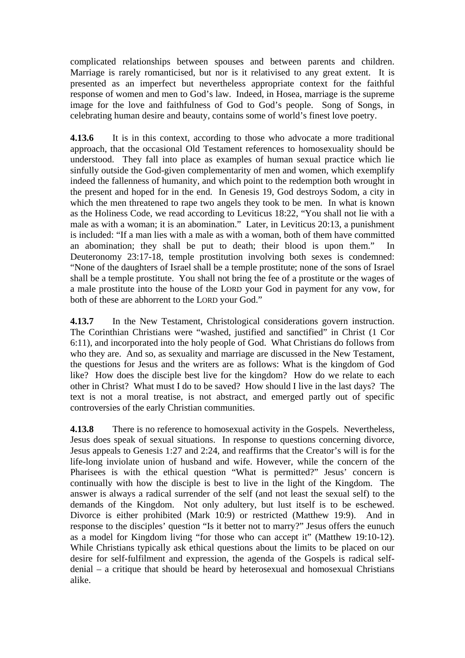complicated relationships between spouses and between parents and children. Marriage is rarely romanticised, but nor is it relativised to any great extent. It is presented as an imperfect but nevertheless appropriate context for the faithful response of women and men to God's law. Indeed, in Hosea, marriage is the supreme image for the love and faithfulness of God to God's people. Song of Songs, in celebrating human desire and beauty, contains some of world's finest love poetry.

**4.13.6** It is in this context, according to those who advocate a more traditional approach, that the occasional Old Testament references to homosexuality should be understood. They fall into place as examples of human sexual practice which lie sinfully outside the God-given complementarity of men and women, which exemplify indeed the fallenness of humanity, and which point to the redemption both wrought in the present and hoped for in the end. In Genesis 19, God destroys Sodom, a city in which the men threatened to rape two angels they took to be men. In what is known as the Holiness Code, we read according to Leviticus 18:22, "You shall not lie with a male as with a woman; it is an abomination." Later, in Leviticus 20:13, a punishment is included: "If a man lies with a male as with a woman, both of them have committed an abomination; they shall be put to death; their blood is upon them." In Deuteronomy 23:17-18, temple prostitution involving both sexes is condemned: "None of the daughters of Israel shall be a temple prostitute; none of the sons of Israel shall be a temple prostitute. You shall not bring the fee of a prostitute or the wages of a male prostitute into the house of the LORD your God in payment for any vow, for both of these are abhorrent to the LORD your God."

**4.13.7** In the New Testament, Christological considerations govern instruction. The Corinthian Christians were "washed, justified and sanctified" in Christ (1 Cor 6:11), and incorporated into the holy people of God. What Christians do follows from who they are. And so, as sexuality and marriage are discussed in the New Testament, the questions for Jesus and the writers are as follows: What is the kingdom of God like? How does the disciple best live for the kingdom? How do we relate to each other in Christ? What must I do to be saved? How should I live in the last days? The text is not a moral treatise, is not abstract, and emerged partly out of specific controversies of the early Christian communities.

**4.13.8** There is no reference to homosexual activity in the Gospels. Nevertheless, Jesus does speak of sexual situations. In response to questions concerning divorce, Jesus appeals to Genesis 1:27 and 2:24, and reaffirms that the Creator's will is for the life-long inviolate union of husband and wife. However, while the concern of the Pharisees is with the ethical question "What is permitted?" Jesus' concern is continually with how the disciple is best to live in the light of the Kingdom. The answer is always a radical surrender of the self (and not least the sexual self) to the demands of the Kingdom. Not only adultery, but lust itself is to be eschewed. Divorce is either prohibited (Mark 10:9) or restricted (Matthew 19:9). And in response to the disciples' question "Is it better not to marry?" Jesus offers the eunuch as a model for Kingdom living "for those who can accept it" (Matthew 19:10-12). While Christians typically ask ethical questions about the limits to be placed on our desire for self-fulfilment and expression, the agenda of the Gospels is radical selfdenial – a critique that should be heard by heterosexual and homosexual Christians alike.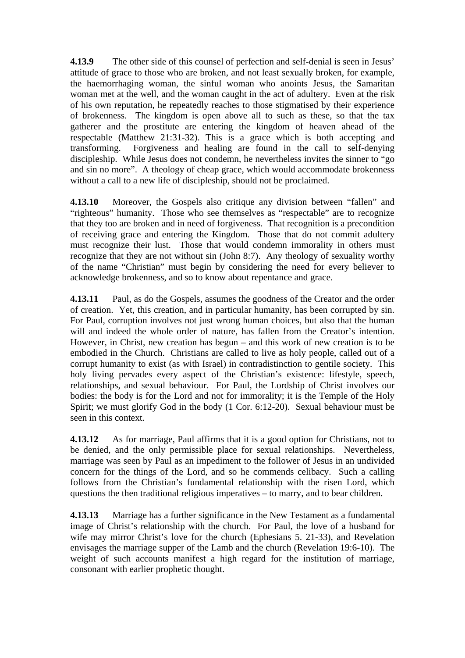**4.13.9** The other side of this counsel of perfection and self-denial is seen in Jesus' attitude of grace to those who are broken, and not least sexually broken, for example, the haemorrhaging woman, the sinful woman who anoints Jesus, the Samaritan woman met at the well, and the woman caught in the act of adultery. Even at the risk of his own reputation, he repeatedly reaches to those stigmatised by their experience of brokenness. The kingdom is open above all to such as these, so that the tax gatherer and the prostitute are entering the kingdom of heaven ahead of the respectable (Matthew 21:31-32). This is a grace which is both accepting and transforming. Forgiveness and healing are found in the call to self-denying discipleship. While Jesus does not condemn, he nevertheless invites the sinner to "go and sin no more". A theology of cheap grace, which would accommodate brokenness without a call to a new life of discipleship, should not be proclaimed.

**4.13.10** Moreover, the Gospels also critique any division between "fallen" and "righteous" humanity. Those who see themselves as "respectable" are to recognize that they too are broken and in need of forgiveness. That recognition is a precondition of receiving grace and entering the Kingdom. Those that do not commit adultery must recognize their lust. Those that would condemn immorality in others must recognize that they are not without sin (John 8:7). Any theology of sexuality worthy of the name "Christian" must begin by considering the need for every believer to acknowledge brokenness, and so to know about repentance and grace.

**4.13.11** Paul, as do the Gospels, assumes the goodness of the Creator and the order of creation. Yet, this creation, and in particular humanity, has been corrupted by sin. For Paul, corruption involves not just wrong human choices, but also that the human will and indeed the whole order of nature, has fallen from the Creator's intention. However, in Christ, new creation has begun – and this work of new creation is to be embodied in the Church. Christians are called to live as holy people, called out of a corrupt humanity to exist (as with Israel) in contradistinction to gentile society. This holy living pervades every aspect of the Christian's existence: lifestyle, speech, relationships, and sexual behaviour. For Paul, the Lordship of Christ involves our bodies: the body is for the Lord and not for immorality; it is the Temple of the Holy Spirit; we must glorify God in the body (1 Cor. 6:12-20). Sexual behaviour must be seen in this context.

**4.13.12** As for marriage, Paul affirms that it is a good option for Christians, not to be denied, and the only permissible place for sexual relationships. Nevertheless, marriage was seen by Paul as an impediment to the follower of Jesus in an undivided concern for the things of the Lord, and so he commends celibacy. Such a calling follows from the Christian's fundamental relationship with the risen Lord, which questions the then traditional religious imperatives – to marry, and to bear children.

**4.13.13** Marriage has a further significance in the New Testament as a fundamental image of Christ's relationship with the church. For Paul, the love of a husband for wife may mirror Christ's love for the church (Ephesians 5. 21-33), and Revelation envisages the marriage supper of the Lamb and the church (Revelation 19:6-10). The weight of such accounts manifest a high regard for the institution of marriage, consonant with earlier prophetic thought.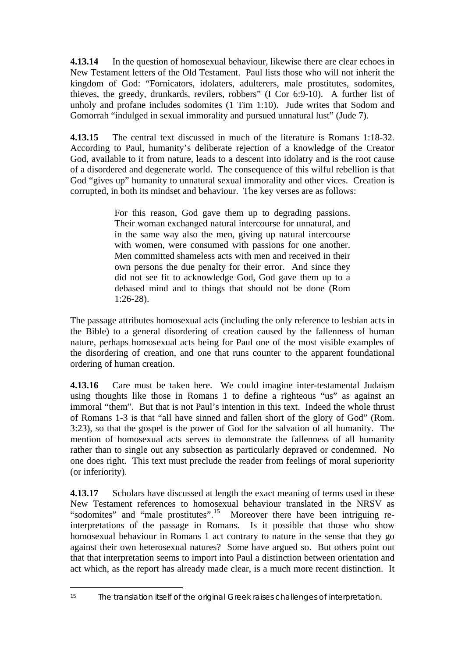**4.13.14** In the question of homosexual behaviour, likewise there are clear echoes in New Testament letters of the Old Testament. Paul lists those who will not inherit the kingdom of God: "Fornicators, idolaters, adulterers, male prostitutes, sodomites, thieves, the greedy, drunkards, revilers, robbers" (I Cor 6:9-10). A further list of unholy and profane includes sodomites (1 Tim 1:10). Jude writes that Sodom and Gomorrah "indulged in sexual immorality and pursued unnatural lust" (Jude 7).

**4.13.15** The central text discussed in much of the literature is Romans 1:18-32. According to Paul, humanity's deliberate rejection of a knowledge of the Creator God, available to it from nature, leads to a descent into idolatry and is the root cause of a disordered and degenerate world. The consequence of this wilful rebellion is that God "gives up" humanity to unnatural sexual immorality and other vices. Creation is corrupted, in both its mindset and behaviour. The key verses are as follows:

> For this reason, God gave them up to degrading passions. Their woman exchanged natural intercourse for unnatural, and in the same way also the men, giving up natural intercourse with women, were consumed with passions for one another. Men committed shameless acts with men and received in their own persons the due penalty for their error. And since they did not see fit to acknowledge God, God gave them up to a debased mind and to things that should not be done (Rom 1:26-28).

The passage attributes homosexual acts (including the only reference to lesbian acts in the Bible) to a general disordering of creation caused by the fallenness of human nature, perhaps homosexual acts being for Paul one of the most visible examples of the disordering of creation, and one that runs counter to the apparent foundational ordering of human creation.

**4.13.16** Care must be taken here. We could imagine inter-testamental Judaism using thoughts like those in Romans 1 to define a righteous "us" as against an immoral "them". But that is not Paul's intention in this text. Indeed the whole thrust of Romans 1-3 is that "all have sinned and fallen short of the glory of God" (Rom. 3:23), so that the gospel is the power of God for the salvation of all humanity. The mention of homosexual acts serves to demonstrate the fallenness of all humanity rather than to single out any subsection as particularly depraved or condemned. No one does right. This text must preclude the reader from feelings of moral superiority (or inferiority).

**4.13.17** Scholars have discussed at length the exact meaning of terms used in these New Testament references to homosexual behaviour translated in the NRSV as "sodomites" and "male prostitutes".[15](#page-20-0) Moreover there have been intriguing reinterpretations of the passage in Romans. Is it possible that those who show homosexual behaviour in Romans 1 act contrary to nature in the sense that they go against their own heterosexual natures? Some have argued so. But others point out that that interpretation seems to import into Paul a distinction between orientation and act which, as the report has already made clear, is a much more recent distinction. It

<span id="page-20-0"></span><sup>1</sup> 15 The translation itself of the original Greek raises challenges of interpretation.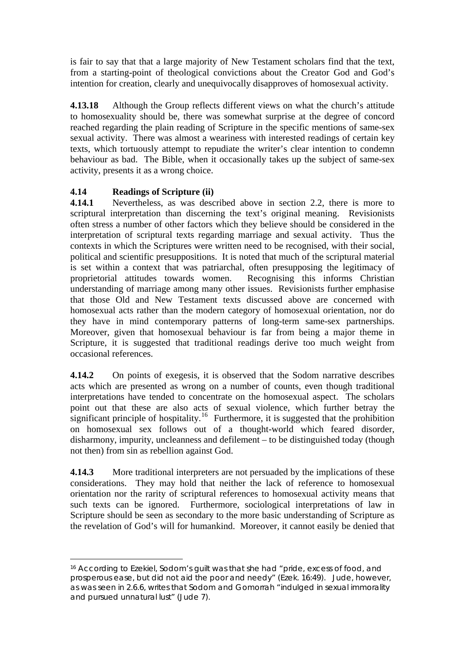is fair to say that that a large majority of New Testament scholars find that the text, from a starting-point of theological convictions about the Creator God and God's intention for creation, clearly and unequivocally disapproves of homosexual activity.

**4.13.18** Although the Group reflects different views on what the church's attitude to homosexuality should be, there was somewhat surprise at the degree of concord reached regarding the plain reading of Scripture in the specific mentions of same-sex sexual activity. There was almost a weariness with interested readings of certain key texts, which tortuously attempt to repudiate the writer's clear intention to condemn behaviour as bad. The Bible, when it occasionally takes up the subject of same-sex activity, presents it as a wrong choice.

### **4.14 Readings of Scripture (ii)**

1

**4.14.1** Nevertheless, as was described above in section 2.2, there is more to scriptural interpretation than discerning the text's original meaning. Revisionists often stress a number of other factors which they believe should be considered in the interpretation of scriptural texts regarding marriage and sexual activity. Thus the contexts in which the Scriptures were written need to be recognised, with their social, political and scientific presuppositions. It is noted that much of the scriptural material is set within a context that was patriarchal, often presupposing the legitimacy of proprietorial attitudes towards women. Recognising this informs Christian understanding of marriage among many other issues. Revisionists further emphasise that those Old and New Testament texts discussed above are concerned with homosexual acts rather than the modern category of homosexual orientation, nor do they have in mind contemporary patterns of long-term same-sex partnerships. Moreover, given that homosexual behaviour is far from being a major theme in Scripture, it is suggested that traditional readings derive too much weight from occasional references.

**4.14.2** On points of exegesis, it is observed that the Sodom narrative describes acts which are presented as wrong on a number of counts, even though traditional interpretations have tended to concentrate on the homosexual aspect. The scholars point out that these are also acts of sexual violence, which further betray the significant principle of hospitality.<sup>[16](#page-21-0)</sup> Furthermore, it is suggested that the prohibition on homosexual sex follows out of a thought-world which feared disorder, disharmony, impurity, uncleanness and defilement – to be distinguished today (though not then) from sin as rebellion against God.

**4.14.3** More traditional interpreters are not persuaded by the implications of these considerations. They may hold that neither the lack of reference to homosexual orientation nor the rarity of scriptural references to homosexual activity means that such texts can be ignored. Furthermore, sociological interpretations of law in Scripture should be seen as secondary to the more basic understanding of Scripture as the revelation of God's will for humankind. Moreover, it cannot easily be denied that

<span id="page-21-0"></span><sup>16</sup> According to Ezekiel, Sodom's guilt was that she had "pride, excess of food, and prosperous ease, but did not aid the poor and needy" (Ezek. 16:49). Jude, however, as was seen in 2.6.6, writes that Sodom and Gomorrah "indulged in sexual immorality and pursued unnatural lust" (Jude 7).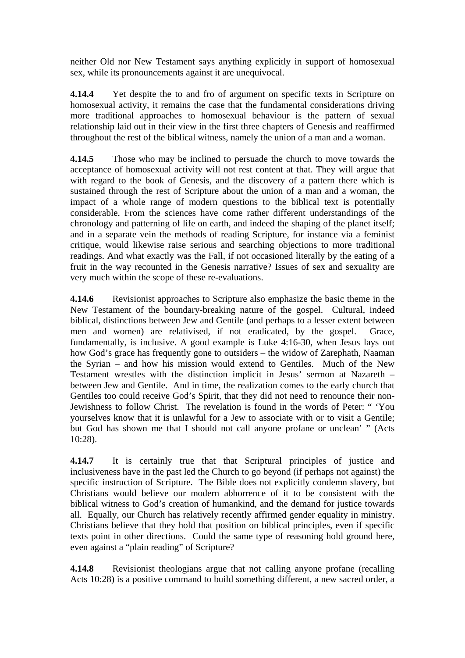neither Old nor New Testament says anything explicitly in support of homosexual sex, while its pronouncements against it are unequivocal.

**4.14.4** Yet despite the to and fro of argument on specific texts in Scripture on homosexual activity, it remains the case that the fundamental considerations driving more traditional approaches to homosexual behaviour is the pattern of sexual relationship laid out in their view in the first three chapters of Genesis and reaffirmed throughout the rest of the biblical witness, namely the union of a man and a woman.

**4.14.5** Those who may be inclined to persuade the church to move towards the acceptance of homosexual activity will not rest content at that. They will argue that with regard to the book of Genesis, and the discovery of a pattern there which is sustained through the rest of Scripture about the union of a man and a woman, the impact of a whole range of modern questions to the biblical text is potentially considerable. From the sciences have come rather different understandings of the chronology and patterning of life on earth, and indeed the shaping of the planet itself; and in a separate vein the methods of reading Scripture, for instance via a feminist critique, would likewise raise serious and searching objections to more traditional readings. And what exactly was the Fall, if not occasioned literally by the eating of a fruit in the way recounted in the Genesis narrative? Issues of sex and sexuality are very much within the scope of these re-evaluations.

**4.14.6** Revisionist approaches to Scripture also emphasize the basic theme in the New Testament of the boundary-breaking nature of the gospel. Cultural, indeed biblical, distinctions between Jew and Gentile (and perhaps to a lesser extent between men and women) are relativised, if not eradicated, by the gospel. Grace, fundamentally, is inclusive. A good example is Luke 4:16-30, when Jesus lays out how God's grace has frequently gone to outsiders – the widow of Zarephath, Naaman the Syrian – and how his mission would extend to Gentiles. Much of the New Testament wrestles with the distinction implicit in Jesus' sermon at Nazareth – between Jew and Gentile. And in time, the realization comes to the early church that Gentiles too could receive God's Spirit, that they did not need to renounce their non-Jewishness to follow Christ. The revelation is found in the words of Peter: " 'You yourselves know that it is unlawful for a Jew to associate with or to visit a Gentile; but God has shown me that I should not call anyone profane or unclean' " (Acts 10:28).

**4.14.7** It is certainly true that that Scriptural principles of justice and inclusiveness have in the past led the Church to go beyond (if perhaps not against) the specific instruction of Scripture. The Bible does not explicitly condemn slavery, but Christians would believe our modern abhorrence of it to be consistent with the biblical witness to God's creation of humankind, and the demand for justice towards all. Equally, our Church has relatively recently affirmed gender equality in ministry. Christians believe that they hold that position on biblical principles, even if specific texts point in other directions. Could the same type of reasoning hold ground here, even against a "plain reading" of Scripture?

**4.14.8** Revisionist theologians argue that not calling anyone profane (recalling Acts 10:28) is a positive command to build something different, a new sacred order, a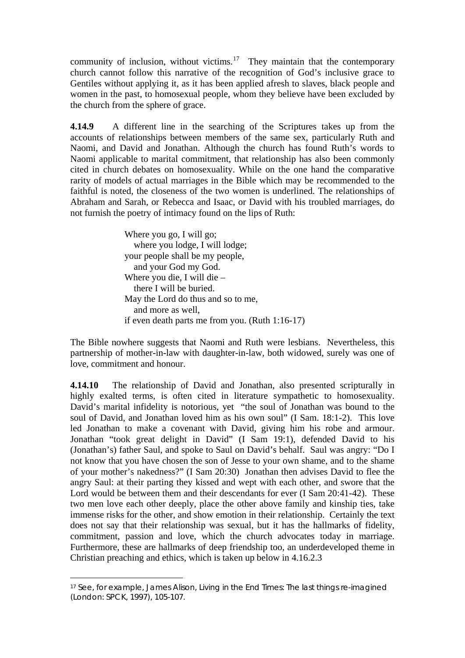community of inclusion, without victims.<sup>[17](#page-23-0)</sup> They maintain that the contemporary church cannot follow this narrative of the recognition of God's inclusive grace to Gentiles without applying it, as it has been applied afresh to slaves, black people and women in the past, to homosexual people, whom they believe have been excluded by the church from the sphere of grace.

**4.14.9** A different line in the searching of the Scriptures takes up from the accounts of relationships between members of the same sex, particularly Ruth and Naomi, and David and Jonathan. Although the church has found Ruth's words to Naomi applicable to marital commitment, that relationship has also been commonly cited in church debates on homosexuality. While on the one hand the comparative rarity of models of actual marriages in the Bible which may be recommended to the faithful is noted, the closeness of the two women is underlined. The relationships of Abraham and Sarah, or Rebecca and Isaac, or David with his troubled marriages, do not furnish the poetry of intimacy found on the lips of Ruth:

> Where you go, I will go; where you lodge, I will lodge: your people shall be my people, and your God my God. Where you die, I will die – there I will be buried. May the Lord do thus and so to me, and more as well, if even death parts me from you. (Ruth 1:16-17)

The Bible nowhere suggests that Naomi and Ruth were lesbians. Nevertheless, this partnership of mother-in-law with daughter-in-law, both widowed, surely was one of love, commitment and honour.

**4.14.10** The relationship of David and Jonathan, also presented scripturally in highly exalted terms, is often cited in literature sympathetic to homosexuality. David's marital infidelity is notorious, yet "the soul of Jonathan was bound to the soul of David, and Jonathan loved him as his own soul" (I Sam. 18:1-2). This love led Jonathan to make a covenant with David, giving him his robe and armour. Jonathan "took great delight in David" (I Sam 19:1), defended David to his (Jonathan's) father Saul, and spoke to Saul on David's behalf. Saul was angry: "Do I not know that you have chosen the son of Jesse to your own shame, and to the shame of your mother's nakedness?" (I Sam 20:30) Jonathan then advises David to flee the angry Saul: at their parting they kissed and wept with each other, and swore that the Lord would be between them and their descendants for ever (I Sam 20:41-42). These two men love each other deeply, place the other above family and kinship ties, take immense risks for the other, and show emotion in their relationship. Certainly the text does not say that their relationship was sexual, but it has the hallmarks of fidelity, commitment, passion and love, which the church advocates today in marriage. Furthermore, these are hallmarks of deep friendship too, an underdeveloped theme in Christian preaching and ethics, which is taken up below in 4.16.2.3

<u>.</u>

<span id="page-23-0"></span><sup>17</sup> See, for example, James Alison, *Living in the End Times: The last things re-imagined* (London: SPCK, 1997), 105-107.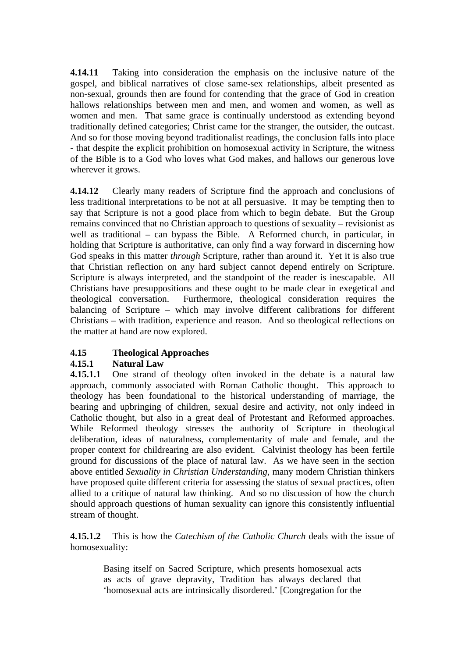**4.14.11** Taking into consideration the emphasis on the inclusive nature of the gospel, and biblical narratives of close same-sex relationships, albeit presented as non-sexual, grounds then are found for contending that the grace of God in creation hallows relationships between men and men, and women and women, as well as women and men. That same grace is continually understood as extending beyond traditionally defined categories; Christ came for the stranger, the outsider, the outcast. And so for those moving beyond traditionalist readings, the conclusion falls into place - that despite the explicit prohibition on homosexual activity in Scripture, the witness of the Bible is to a God who loves what God makes, and hallows our generous love wherever it grows.

**4.14.12** Clearly many readers of Scripture find the approach and conclusions of less traditional interpretations to be not at all persuasive. It may be tempting then to say that Scripture is not a good place from which to begin debate. But the Group remains convinced that no Christian approach to questions of sexuality – revisionist as well as traditional – can bypass the Bible. A Reformed church, in particular, in holding that Scripture is authoritative, can only find a way forward in discerning how God speaks in this matter *through* Scripture, rather than around it. Yet it is also true that Christian reflection on any hard subject cannot depend entirely on Scripture. Scripture is always interpreted, and the standpoint of the reader is inescapable. All Christians have presuppositions and these ought to be made clear in exegetical and theological conversation. Furthermore, theological consideration requires the balancing of Scripture – which may involve different calibrations for different Christians – with tradition, experience and reason. And so theological reflections on the matter at hand are now explored.

## **4.15 Theological Approaches**

#### **4.15.1 Natural Law**

**4.15.1.1** One strand of theology often invoked in the debate is a natural law approach, commonly associated with Roman Catholic thought. This approach to theology has been foundational to the historical understanding of marriage, the bearing and upbringing of children, sexual desire and activity, not only indeed in Catholic thought, but also in a great deal of Protestant and Reformed approaches. While Reformed theology stresses the authority of Scripture in theological deliberation, ideas of naturalness, complementarity of male and female, and the proper context for childrearing are also evident. Calvinist theology has been fertile ground for discussions of the place of natural law. As we have seen in the section above entitled *Sexuality in Christian Understanding*, many modern Christian thinkers have proposed quite different criteria for assessing the status of sexual practices, often allied to a critique of natural law thinking. And so no discussion of how the church should approach questions of human sexuality can ignore this consistently influential stream of thought.

**4.15.1.2** This is how the *Catechism of the Catholic Church* deals with the issue of homosexuality:

> Basing itself on Sacred Scripture, which presents homosexual acts as acts of grave depravity, Tradition has always declared that 'homosexual acts are intrinsically disordered.' [Congregation for the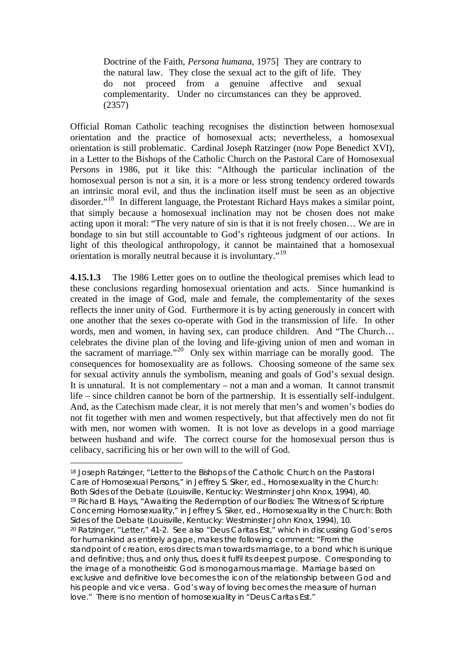Doctrine of the Faith, *Persona humana*, 1975] They are contrary to the natural law. They close the sexual act to the gift of life. They do not proceed from a genuine affective and sexual complementarity. Under no circumstances can they be approved. (2357)

Official Roman Catholic teaching recognises the distinction between homosexual orientation and the practice of homosexual acts; nevertheless, a homosexual orientation is still problematic. Cardinal Joseph Ratzinger (now Pope Benedict XVI), in a Letter to the Bishops of the Catholic Church on the Pastoral Care of Homosexual Persons in 1986, put it like this: "Although the particular inclination of the homosexual person is not a sin, it is a more or less strong tendency ordered towards an intrinsic moral evil, and thus the inclination itself must be seen as an objective disorder."[18](#page-25-0) In different language, the Protestant Richard Hays makes a similar point, that simply because a homosexual inclination may not be chosen does not make acting upon it moral: "The very nature of sin is that it is not freely chosen… We are in bondage to sin but still accountable to God's righteous judgment of our actions. In light of this theological anthropology, it cannot be maintained that a homosexual orientation is morally neutral because it is involuntary."[19](#page-25-1)

**4.15.1.3** The 1986 Letter goes on to outline the theological premises which lead to these conclusions regarding homosexual orientation and acts. Since humankind is created in the image of God, male and female, the complementarity of the sexes reflects the inner unity of God. Furthermore it is by acting generously in concert with one another that the sexes co-operate with God in the transmission of life. In other words, men and women, in having sex, can produce children. And "The Church… celebrates the divine plan of the loving and life-giving union of men and woman in the sacrament of marriage."[20](#page-25-2) Only sex within marriage can be morally good. The consequences for homosexuality are as follows. Choosing someone of the same sex for sexual activity annuls the symbolism, meaning and goals of God's sexual design. It is unnatural. It is not complementary – not a man and a woman. It cannot transmit life – since children cannot be born of the partnership. It is essentially self-indulgent. And, as the Catechism made clear, it is not merely that men's and women's bodies do not fit together with men and women respectively, but that affectively men do not fit with men, nor women with women. It is not love as develops in a good marriage between husband and wife. The correct course for the homosexual person thus is celibacy, sacrificing his or her own will to the will of God.

<span id="page-25-2"></span><span id="page-25-1"></span><span id="page-25-0"></span>18 Joseph Ratzinger, "Letter to the Bishops of the Catholic Church on the Pastoral Care of Homosexual Persons," in Jeffrey S. Siker, ed., *Homosexuality in the Church: Both Sides of the Debate* (Louisville, Kentucky: Westminster John Knox, 1994), 40. 19 Richard B. Hays, "Awaiting the Redemption of our Bodies: The Witness of Scripture Concerning Homosexuality," in Jeffrey S. Siker, ed., *Homosexuality in the Church: Both Sides of the Debate* (Louisville, Kentucky: Westminster John Knox, 1994), 10. 20 Ratzinger, "Letter," 41-2. See also "Deus Caritas Est," which in discussing God's *eros* for humankind as entirely *agape*, makes the following comment: "From the standpoint of creation, *eros* directs man towards marriage, to a bond which is unique and definitive; thus, and only thus, does it fulfil its deepest purpose. Corresponding to the image of a monotheistic God is monogamous marriage. Marriage based on exclusive and definitive love becomes the icon of the relationship between God and his people and vice versa. God's way of loving becomes the measure of human love." There is no mention of homosexuality in "Deus Caritas Est."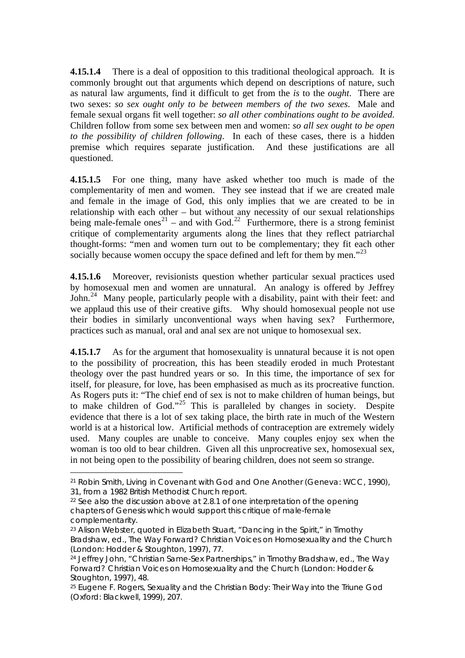**4.15.1.4** There is a deal of opposition to this traditional theological approach. It is commonly brought out that arguments which depend on descriptions of nature, such as natural law arguments, find it difficult to get from the *is* to the *ought*. There are two sexes: *so sex ought only to be between members of the two sexes*. Male and female sexual organs fit well together: *so all other combinations ought to be avoided*. Children follow from some sex between men and women: *so all sex ought to be open to the possibility of children following*. In each of these cases, there is a hidden premise which requires separate justification. And these justifications are all questioned.

**4.15.1.5** For one thing, many have asked whether too much is made of the complementarity of men and women. They see instead that if we are created male and female in the image of God, this only implies that we are created to be in relationship with each other – but without any necessity of our sexual relationships being male-female ones<sup>[21](#page-26-0)</sup> – and with God.<sup>[22](#page-26-1)</sup> Furthermore, there is a strong feminist critique of complementarity arguments along the lines that they reflect patriarchal thought-forms: "men and women turn out to be complementary; they fit each other socially because women occupy the space defined and left for them by men."<sup>[23](#page-26-2)</sup>

**4.15.1.6** Moreover, revisionists question whether particular sexual practices used by homosexual men and women are unnatural. An analogy is offered by Jeffrey John.<sup>[24](#page-26-3)</sup> Many people, particularly people with a disability, paint with their feet: and we applaud this use of their creative gifts. Why should homosexual people not use their bodies in similarly unconventional ways when having sex? Furthermore, practices such as manual, oral and anal sex are not unique to homosexual sex.

**4.15.1.7** As for the argument that homosexuality is unnatural because it is not open to the possibility of procreation, this has been steadily eroded in much Protestant theology over the past hundred years or so. In this time, the importance of sex for itself, for pleasure, for love, has been emphasised as much as its procreative function. As Rogers puts it: "The chief end of sex is not to make children of human beings, but to make children of God."<sup>[25](#page-26-4)</sup> This is paralleled by changes in society. Despite evidence that there is a lot of sex taking place, the birth rate in much of the Western world is at a historical low. Artificial methods of contraception are extremely widely used. Many couples are unable to conceive. Many couples enjoy sex when the woman is too old to bear children. Given all this unprocreative sex, homosexual sex, in not being open to the possibility of bearing children, does not seem so strange.

<span id="page-26-0"></span><sup>21</sup> Robin Smith, *Living in Covenant with God and One Another* (Geneva: WCC, 1990), 31, from a 1982 British Methodist Church report.

<span id="page-26-1"></span> $22$  See also the discussion above at 2.8.1 of one interpretation of the opening chapters of Genesis which would support this critique of male-female complementarity.

<span id="page-26-2"></span><sup>&</sup>lt;sup>23</sup> Alison Webster, quoted in Elizabeth Stuart, "Dancing in the Spirit," in Timothy Bradshaw, ed., *The Way Forward? Christian Voices on Homosexuality and the Church* (London: Hodder & Stoughton, 1997), 77.

<span id="page-26-3"></span><sup>24</sup> Jeffrey John, "Christian Same-Sex Partnerships," in Timothy Bradshaw, ed., *The Way Forward? Christian Voices on Homosexuality and the Church* (London: Hodder & Stoughton, 1997), 48.

<span id="page-26-4"></span><sup>25</sup> Eugene F. Rogers, *Sexuality and the Christian Body: Their Way into the Triune God* (Oxford: Blackwell, 1999), 207.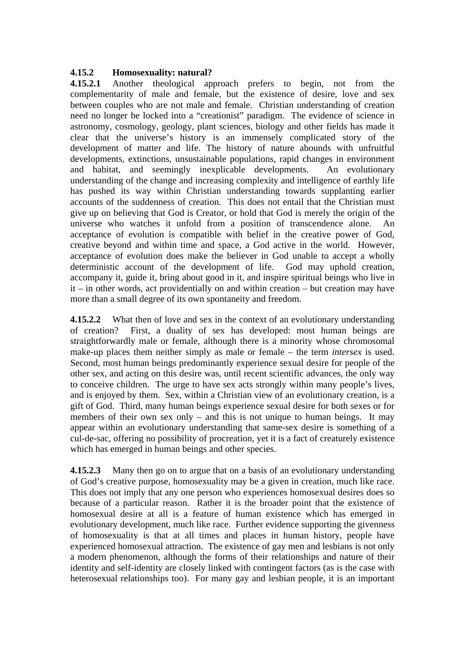#### **4.15.2 Homosexuality: natural?**

**4.15.2.1** Another theological approach prefers to begin, not from the complementarity of male and female, but the existence of desire, love and sex between couples who are not male and female. Christian understanding of creation need no longer be locked into a "creationist" paradigm. The evidence of science in astronomy, cosmology, geology, plant sciences, biology and other fields has made it clear that the universe's history is an immensely complicated story of the development of matter and life. The history of nature abounds with unfruitful developments, extinctions, unsustainable populations, rapid changes in environment and habitat, and seemingly inexplicable developments. An evolutionary understanding of the change and increasing complexity and intelligence of earthly life has pushed its way within Christian understanding towards supplanting earlier accounts of the suddenness of creation. This does not entail that the Christian must give up on believing that God is Creator, or hold that God is merely the origin of the universe who watches it unfold from a position of transcendence alone. An acceptance of evolution is compatible with belief in the creative power of God, creative beyond and within time and space, a God active in the world. However, acceptance of evolution does make the believer in God unable to accept a wholly deterministic account of the development of life. God may uphold creation, accompany it, guide it, bring about good in it, and inspire spiritual beings who live in it – in other words, act providentially on and within creation – but creation may have more than a small degree of its own spontaneity and freedom.

**4.15.2.2** What then of love and sex in the context of an evolutionary understanding of creation? First, a duality of sex has developed: most human beings are straightforwardly male or female, although there is a minority whose chromosomal make-up places them neither simply as male or female – the term *intersex* is used. Second, most human beings predominantly experience sexual desire for people of the other sex, and acting on this desire was, until recent scientific advances, the only way to conceive children. The urge to have sex acts strongly within many people's lives, and is enjoyed by them. Sex, within a Christian view of an evolutionary creation, is a gift of God. Third, many human beings experience sexual desire for both sexes or for members of their own sex only – and this is not unique to human beings. It may appear within an evolutionary understanding that same-sex desire is something of a cul-de-sac, offering no possibility of procreation, yet it is a fact of creaturely existence which has emerged in human beings and other species.

**4.15.2.3** Many then go on to argue that on a basis of an evolutionary understanding of God's creative purpose, homosexuality may be a given in creation, much like race. This does not imply that any one person who experiences homosexual desires does so because of a particular reason. Rather it is the broader point that the existence of homosexual desire at all is a feature of human existence which has emerged in evolutionary development, much like race. Further evidence supporting the givenness of homosexuality is that at all times and places in human history, people have experienced homosexual attraction. The existence of gay men and lesbians is not only a modern phenomenon, although the forms of their relationships and nature of their identity and self-identity are closely linked with contingent factors (as is the case with heterosexual relationships too). For many gay and lesbian people, it is an important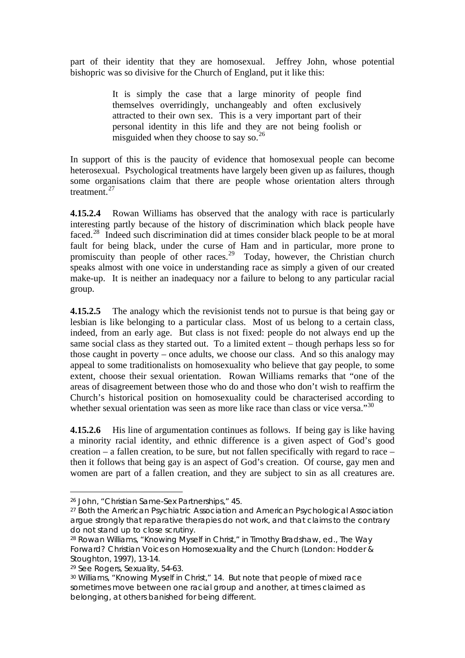part of their identity that they are homosexual. Jeffrey John, whose potential bishopric was so divisive for the Church of England, put it like this:

> It is simply the case that a large minority of people find themselves overridingly, unchangeably and often exclusively attracted to their own sex. This is a very important part of their personal identity in this life and they are not being foolish or misguided when they choose to say so.<sup>[26](#page-28-0)</sup>

In support of this is the paucity of evidence that homosexual people can become heterosexual. Psychological treatments have largely been given up as failures, though some organisations claim that there are people whose orientation alters through treatment<sup>[27](#page-28-1)</sup>

**4.15.2.4** Rowan Williams has observed that the analogy with race is particularly interesting partly because of the history of discrimination which black people have faced.[28](#page-28-2) Indeed such discrimination did at times consider black people to be at moral fault for being black, under the curse of Ham and in particular, more prone to promiscuity than people of other races.<sup>[29](#page-28-3)</sup> Today, however, the Christian church speaks almost with one voice in understanding race as simply a given of our created make-up. It is neither an inadequacy nor a failure to belong to any particular racial group.

**4.15.2.5** The analogy which the revisionist tends not to pursue is that being gay or lesbian is like belonging to a particular class. Most of us belong to a certain class, indeed, from an early age. But class is not fixed: people do not always end up the same social class as they started out. To a limited extent – though perhaps less so for those caught in poverty – once adults, we choose our class. And so this analogy may appeal to some traditionalists on homosexuality who believe that gay people, to some extent, choose their sexual orientation. Rowan Williams remarks that "one of the areas of disagreement between those who do and those who don't wish to reaffirm the Church's historical position on homosexuality could be characterised according to whether sexual orientation was seen as more like race than class or vice versa."<sup>[30](#page-28-4)</sup>

**4.15.2.6** His line of argumentation continues as follows. If being gay is like having a minority racial identity, and ethnic difference is a given aspect of God's good creation – a fallen creation, to be sure, but not fallen specifically with regard to race – then it follows that being gay is an aspect of God's creation. Of course, gay men and women are part of a fallen creation, and they are subject to sin as all creatures are.

<span id="page-28-0"></span><sup>26</sup> John, "Christian Same-Sex Partnerships," 45.

<span id="page-28-1"></span><sup>27</sup> Both the American Psychiatric Association and American Psychological Association argue strongly that reparative therapies do not work, and that claims to the contrary do not stand up to close scrutiny.

<span id="page-28-2"></span><sup>28</sup> Rowan Williams, "Knowing Myself in Christ," in Timothy Bradshaw, ed., *The Way Forward? Christian Voices on Homosexuality and the Church* (London: Hodder & Stoughton, 1997), 13-14.

<span id="page-28-3"></span><sup>29</sup> See Rogers, *Sexuality*, 54-63.

<span id="page-28-4"></span><sup>30</sup> Williams, "Knowing Myself in Christ," 14. But note that people of mixed race sometimes move between one racial group and another, at times claimed as belonging, at others banished for being different.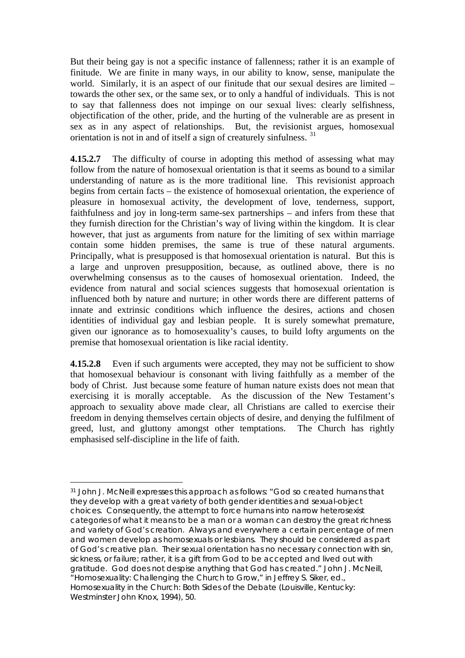But their being gay is not a specific instance of fallenness; rather it is an example of finitude. We are finite in many ways, in our ability to know, sense, manipulate the world. Similarly, it is an aspect of our finitude that our sexual desires are limited – towards the other sex, or the same sex, or to only a handful of individuals. This is not to say that fallenness does not impinge on our sexual lives: clearly selfishness, objectification of the other, pride, and the hurting of the vulnerable are as present in sex as in any aspect of relationships. But, the revisionist argues, homosexual orientation is not in and of itself a sign of creaturely sinfulness. [31](#page-29-0)

**4.15.2.7** The difficulty of course in adopting this method of assessing what may follow from the nature of homosexual orientation is that it seems as bound to a similar understanding of nature as is the more traditional line. This revisionist approach begins from certain facts – the existence of homosexual orientation, the experience of pleasure in homosexual activity, the development of love, tenderness, support, faithfulness and joy in long-term same-sex partnerships – and infers from these that they furnish direction for the Christian's way of living within the kingdom. It is clear however, that just as arguments from nature for the limiting of sex within marriage contain some hidden premises, the same is true of these natural arguments. Principally, what is presupposed is that homosexual orientation is natural. But this is a large and unproven presupposition, because, as outlined above, there is no overwhelming consensus as to the causes of homosexual orientation. Indeed, the evidence from natural and social sciences suggests that homosexual orientation is influenced both by nature and nurture; in other words there are different patterns of innate and extrinsic conditions which influence the desires, actions and chosen identities of individual gay and lesbian people. It is surely somewhat premature, given our ignorance as to homosexuality's causes, to build lofty arguments on the premise that homosexual orientation is like racial identity.

**4.15.2.8** Even if such arguments were accepted, they may not be sufficient to show that homosexual behaviour is consonant with living faithfully as a member of the body of Christ. Just because some feature of human nature exists does not mean that exercising it is morally acceptable. As the discussion of the New Testament's approach to sexuality above made clear, all Christians are called to exercise their freedom in denying themselves certain objects of desire, and denying the fulfilment of greed, lust, and gluttony amongst other temptations. The Church has rightly emphasised self-discipline in the life of faith.

<span id="page-29-0"></span><sup>&</sup>lt;u>.</u> 31 John J. McNeill expresses this approach as follows: "God so created humans that they develop with a great variety of both gender identities and sexual-object choices. Consequently, the attempt to force humans into narrow heterosexist categories of what it means to be a man or a woman can destroy the great richness and variety of God's creation. Always and everywhere a certain percentage of men and women develop as homosexuals or lesbians. They should be considered as part of God's creative plan. Their sexual orientation has no necessary connection with sin, sickness, or failure; rather, it is a gift from God to be accepted and lived out with gratitude. God does not despise anything that God has created." John J. McNeill, "Homosexuality: Challenging the Church to Grow," in Jeffrey S. Siker, ed., *Homosexuality in the Church: Both Sides of the Debate* (Louisville, Kentucky: Westminster John Knox, 1994), 50.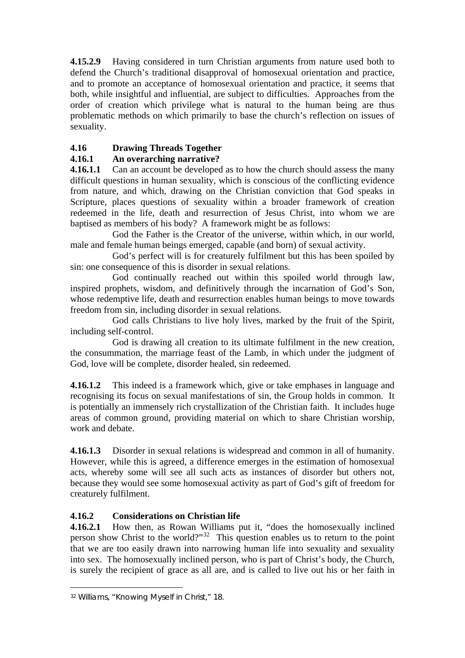**4.15.2.9** Having considered in turn Christian arguments from nature used both to defend the Church's traditional disapproval of homosexual orientation and practice, and to promote an acceptance of homosexual orientation and practice, it seems that both, while insightful and influential, are subject to difficulties. Approaches from the order of creation which privilege what is natural to the human being are thus problematic methods on which primarily to base the church's reflection on issues of sexuality.

# **4.16 Drawing Threads Together**

# **4.16.1 An overarching narrative?**

**4.16.1.1** Can an account be developed as to how the church should assess the many difficult questions in human sexuality, which is conscious of the conflicting evidence from nature, and which, drawing on the Christian conviction that God speaks in Scripture, places questions of sexuality within a broader framework of creation redeemed in the life, death and resurrection of Jesus Christ, into whom we are baptised as members of his body? A framework might be as follows:

 God the Father is the Creator of the universe, within which, in our world, male and female human beings emerged, capable (and born) of sexual activity.

 God's perfect will is for creaturely fulfilment but this has been spoiled by sin: one consequence of this is disorder in sexual relations.

 God continually reached out within this spoiled world through law, inspired prophets, wisdom, and definitively through the incarnation of God's Son, whose redemptive life, death and resurrection enables human beings to move towards freedom from sin, including disorder in sexual relations.

 God calls Christians to live holy lives, marked by the fruit of the Spirit, including self-control.

God is drawing all creation to its ultimate fulfilment in the new creation, the consummation, the marriage feast of the Lamb, in which under the judgment of God, love will be complete, disorder healed, sin redeemed.

**4.16.1.2** This indeed is a framework which, give or take emphases in language and recognising its focus on sexual manifestations of sin, the Group holds in common. It is potentially an immensely rich crystallization of the Christian faith. It includes huge areas of common ground, providing material on which to share Christian worship, work and debate.

**4.16.1.3** Disorder in sexual relations is widespread and common in all of humanity. However, while this is agreed, a difference emerges in the estimation of homosexual acts, whereby some will see all such acts as instances of disorder but others not, because they would see some homosexual activity as part of God's gift of freedom for creaturely fulfilment.

## **4.16.2 Considerations on Christian life**

**4.16.2.1** How then, as Rowan Williams put it, "does the homosexually inclined person show Christ to the world?"<sup>[32](#page-30-0)</sup> This question enables us to return to the point that we are too easily drawn into narrowing human life into sexuality and sexuality into sex. The homosexually inclined person, who is part of Christ's body, the Church, is surely the recipient of grace as all are, and is called to live out his or her faith in

<span id="page-30-0"></span><sup>32</sup> Williams, "Knowing Myself in Christ," 18.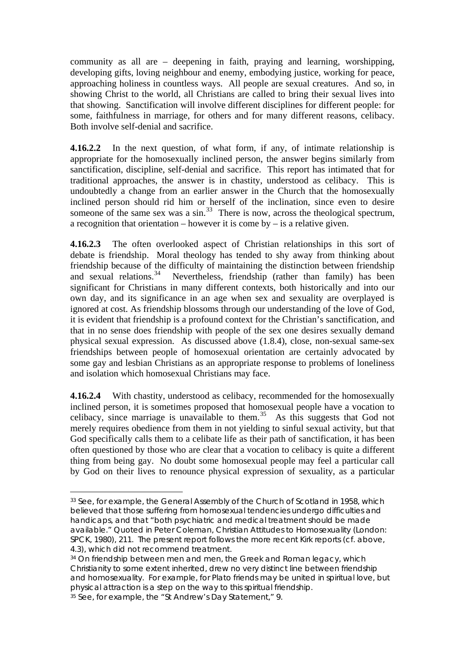community as all are – deepening in faith, praying and learning, worshipping, developing gifts, loving neighbour and enemy, embodying justice, working for peace, approaching holiness in countless ways. All people are sexual creatures. And so, in showing Christ to the world, all Christians are called to bring their sexual lives into that showing. Sanctification will involve different disciplines for different people: for some, faithfulness in marriage, for others and for many different reasons, celibacy. Both involve self-denial and sacrifice.

**4.16.2.2** In the next question, of what form, if any, of intimate relationship is appropriate for the homosexually inclined person, the answer begins similarly from sanctification, discipline, self-denial and sacrifice. This report has intimated that for traditional approaches, the answer is in chastity, understood as celibacy. This is undoubtedly a change from an earlier answer in the Church that the homosexually inclined person should rid him or herself of the inclination, since even to desire someone of the same sex was a  $\sin^{33}$  $\sin^{33}$  $\sin^{33}$  There is now, across the theological spectrum, a recognition that orientation – however it is come by – is a relative given.

**4.16.2.3** The often overlooked aspect of Christian relationships in this sort of debate is friendship. Moral theology has tended to shy away from thinking about friendship because of the difficulty of maintaining the distinction between friendship and sexual relations.<sup>[34](#page-31-1)</sup> Nevertheless, friendship (rather than family) has been significant for Christians in many different contexts, both historically and into our own day, and its significance in an age when sex and sexuality are overplayed is ignored at cost. As friendship blossoms through our understanding of the love of God, it is evident that friendship is a profound context for the Christian's sanctification, and that in no sense does friendship with people of the sex one desires sexually demand physical sexual expression. As discussed above (1.8.4), close, non-sexual same-sex friendships between people of homosexual orientation are certainly advocated by some gay and lesbian Christians as an appropriate response to problems of loneliness and isolation which homosexual Christians may face.

**4.16.2.4** With chastity, understood as celibacy, recommended for the homosexually inclined person, it is sometimes proposed that homosexual people have a vocation to celibacy, since marriage is unavailable to them.<sup>[35](#page-31-2)</sup> As this suggests that God not merely requires obedience from them in not yielding to sinful sexual activity, but that God specifically calls them to a celibate life as their path of sanctification, it has been often questioned by those who are clear that a vocation to celibacy is quite a different thing from being gay. No doubt some homosexual people may feel a particular call by God on their lives to renounce physical expression of sexuality, as a particular

<span id="page-31-0"></span><sup>33</sup> See, for example, the General Assembly of the Church of Scotland in 1958, which believed that those suffering from homosexual tendencies undergo difficulties and handicaps, and that "both psychiatric and medical treatment should be made available." Quoted in Peter Coleman, *Christian Attitudes to Homosexuality* (London: SPCK, 1980), 211. The present report follows the more recent Kirk reports (cf. above, 4.3), which did not recommend treatment.

<span id="page-31-2"></span><span id="page-31-1"></span><sup>34</sup> On friendship between men and men, the Greek and Roman legacy, which Christianity to some extent inherited, drew no very distinct line between friendship and homosexuality. For example, for Plato friends may be united in spiritual love, but physical attraction is a step on the way to this spiritual friendship. 35 See, for example, the "St Andrew's Day Statement," 9.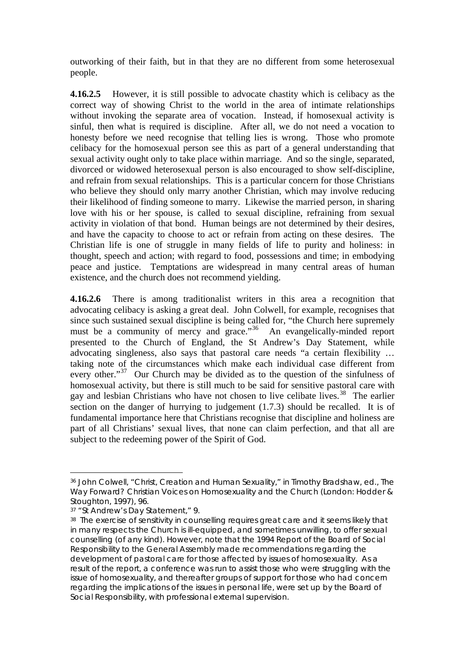outworking of their faith, but in that they are no different from some heterosexual people.

**4.16.2.5** However, it is still possible to advocate chastity which is celibacy as the correct way of showing Christ to the world in the area of intimate relationships without invoking the separate area of vocation. Instead, if homosexual activity is sinful, then what is required is discipline. After all, we do not need a vocation to honesty before we need recognise that telling lies is wrong. Those who promote celibacy for the homosexual person see this as part of a general understanding that sexual activity ought only to take place within marriage. And so the single, separated, divorced or widowed heterosexual person is also encouraged to show self-discipline, and refrain from sexual relationships. This is a particular concern for those Christians who believe they should only marry another Christian, which may involve reducing their likelihood of finding someone to marry. Likewise the married person, in sharing love with his or her spouse, is called to sexual discipline, refraining from sexual activity in violation of that bond. Human beings are not determined by their desires, and have the capacity to choose to act or refrain from acting on these desires. The Christian life is one of struggle in many fields of life to purity and holiness: in thought, speech and action; with regard to food, possessions and time; in embodying peace and justice. Temptations are widespread in many central areas of human existence, and the church does not recommend yielding.

**4.16.2.6** There is among traditionalist writers in this area a recognition that advocating celibacy is asking a great deal. John Colwell, for example, recognises that since such sustained sexual discipline is being called for, "the Church here supremely must be a community of mercy and grace."<sup>[36](#page-32-0)</sup> An evangelically-minded report presented to the Church of England, the St Andrew's Day Statement, while advocating singleness, also says that pastoral care needs "a certain flexibility … taking note of the circumstances which make each individual case different from every other."<sup>[37](#page-32-1)</sup> Our Church may be divided as to the question of the sinfulness of homosexual activity, but there is still much to be said for sensitive pastoral care with gay and lesbian Christians who have not chosen to live celibate lives.<sup>[38](#page-32-2)</sup> The earlier section on the danger of hurrying to judgement (1.7.3) should be recalled. It is of fundamental importance here that Christians recognise that discipline and holiness are part of all Christians' sexual lives, that none can claim perfection, and that all are subject to the redeeming power of the Spirit of God.

<span id="page-32-0"></span><sup>36</sup> John Colwell, "Christ, Creation and Human Sexuality," in Timothy Bradshaw, ed., *The Way Forward? Christian Voices on Homosexuality and the Church* (London: Hodder & Stoughton, 1997), 96.

<span id="page-32-1"></span><sup>37 &</sup>quot;St Andrew's Day Statement," 9.

<span id="page-32-2"></span><sup>&</sup>lt;sup>38</sup> The exercise of sensitivity in counselling requires great care and it seems likely that in many respects the Church is ill-equipped, and sometimes unwilling, to offer sexual counselling (of any kind). However, note that the 1994 Report of the Board of Social Responsibility to the General Assembly made recommendations regarding the development of pastoral care for those affected by issues of homosexuality. As a result of the report, a conference was run to assist those who were struggling with the issue of homosexuality, and thereafter groups of support for those who had concern regarding the implications of the issues in personal life, were set up by the Board of Social Responsibility, with professional external supervision.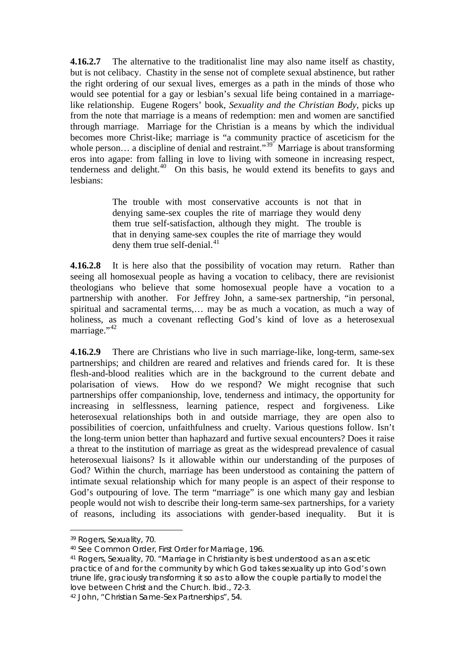**4.16.2.7** The alternative to the traditionalist line may also name itself as chastity, but is not celibacy. Chastity in the sense not of complete sexual abstinence, but rather the right ordering of our sexual lives, emerges as a path in the minds of those who would see potential for a gay or lesbian's sexual life being contained in a marriagelike relationship. Eugene Rogers' book, *Sexuality and the Christian Body*, picks up from the note that marriage is a means of redemption: men and women are sanctified through marriage. Marriage for the Christian is a means by which the individual becomes more Christ-like; marriage is "a community practice of asceticism for the whole person... a discipline of denial and restraint."<sup>[39](#page-33-0)</sup> Marriage is about transforming eros into agape: from falling in love to living with someone in increasing respect, tenderness and delight. $40$  On this basis, he would extend its benefits to gays and lesbians:

> The trouble with most conservative accounts is not that in denying same-sex couples the rite of marriage they would deny them true self-satisfaction, although they might. The trouble is that in denying same-sex couples the rite of marriage they would deny them true self-denial.<sup>[41](#page-33-2)</sup>

**4.16.2.8** It is here also that the possibility of vocation may return. Rather than seeing all homosexual people as having a vocation to celibacy, there are revisionist theologians who believe that some homosexual people have a vocation to a partnership with another. For Jeffrey John, a same-sex partnership, "in personal, spiritual and sacramental terms,… may be as much a vocation, as much a way of holiness, as much a covenant reflecting God's kind of love as a heterosexual marriage."<sup>[42](#page-33-3)</sup>

**4.16.2.9** There are Christians who live in such marriage-like, long-term, same-sex partnerships; and children are reared and relatives and friends cared for. It is these flesh-and-blood realities which are in the background to the current debate and polarisation of views. How do we respond? We might recognise that such partnerships offer companionship, love, tenderness and intimacy, the opportunity for increasing in selflessness, learning patience, respect and forgiveness. Like heterosexual relationships both in and outside marriage, they are open also to possibilities of coercion, unfaithfulness and cruelty. Various questions follow. Isn't the long-term union better than haphazard and furtive sexual encounters? Does it raise a threat to the institution of marriage as great as the widespread prevalence of casual heterosexual liaisons? Is it allowable within our understanding of the purposes of God? Within the church, marriage has been understood as containing the pattern of intimate sexual relationship which for many people is an aspect of their response to God's outpouring of love. The term "marriage" is one which many gay and lesbian people would not wish to describe their long-term same-sex partnerships, for a variety of reasons, including its associations with gender-based inequality. But it is

<span id="page-33-0"></span><sup>39</sup> Rogers, *Sexuality*, 70.

<span id="page-33-1"></span><sup>40</sup> See *Common Order*, First Order for Marriage, 196.

<span id="page-33-2"></span><sup>41</sup> Rogers, *Sexuality*, 70. "Marriage in Christianity is best understood as an ascetic practice of and for the community by which God takes sexuality up into God's own triune life, graciously transforming it so as to allow the couple partially to model the love between Christ and the Church. *Ibid.*, 72-3.

<span id="page-33-3"></span><sup>42</sup> John, "Christian Same-Sex Partnerships", 54.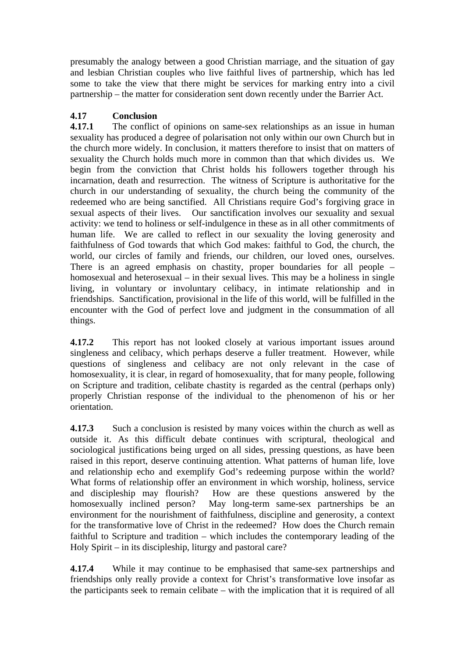presumably the analogy between a good Christian marriage, and the situation of gay and lesbian Christian couples who live faithful lives of partnership, which has led some to take the view that there might be services for marking entry into a civil partnership – the matter for consideration sent down recently under the Barrier Act.

# **4.17 Conclusion**

**4.17.1** The conflict of opinions on same-sex relationships as an issue in human sexuality has produced a degree of polarisation not only within our own Church but in the church more widely. In conclusion, it matters therefore to insist that on matters of sexuality the Church holds much more in common than that which divides us. We begin from the conviction that Christ holds his followers together through his incarnation, death and resurrection. The witness of Scripture is authoritative for the church in our understanding of sexuality, the church being the community of the redeemed who are being sanctified. All Christians require God's forgiving grace in sexual aspects of their lives. Our sanctification involves our sexuality and sexual activity: we tend to holiness or self-indulgence in these as in all other commitments of human life. We are called to reflect in our sexuality the loving generosity and faithfulness of God towards that which God makes: faithful to God, the church, the world, our circles of family and friends, our children, our loved ones, ourselves. There is an agreed emphasis on chastity, proper boundaries for all people – homosexual and heterosexual – in their sexual lives. This may be a holiness in single living, in voluntary or involuntary celibacy, in intimate relationship and in friendships. Sanctification, provisional in the life of this world, will be fulfilled in the encounter with the God of perfect love and judgment in the consummation of all things.

**4.17.2** This report has not looked closely at various important issues around singleness and celibacy, which perhaps deserve a fuller treatment. However, while questions of singleness and celibacy are not only relevant in the case of homosexuality, it is clear, in regard of homosexuality, that for many people, following on Scripture and tradition, celibate chastity is regarded as the central (perhaps only) properly Christian response of the individual to the phenomenon of his or her orientation.

**4.17.3** Such a conclusion is resisted by many voices within the church as well as outside it. As this difficult debate continues with scriptural, theological and sociological justifications being urged on all sides, pressing questions, as have been raised in this report, deserve continuing attention. What patterns of human life, love and relationship echo and exemplify God's redeeming purpose within the world? What forms of relationship offer an environment in which worship, holiness, service and discipleship may flourish? How are these questions answered by the homosexually inclined person? May long-term same-sex partnerships be an environment for the nourishment of faithfulness, discipline and generosity, a context for the transformative love of Christ in the redeemed? How does the Church remain faithful to Scripture and tradition – which includes the contemporary leading of the Holy Spirit – in its discipleship, liturgy and pastoral care?

**4.17.4** While it may continue to be emphasised that same-sex partnerships and friendships only really provide a context for Christ's transformative love insofar as the participants seek to remain celibate – with the implication that it is required of all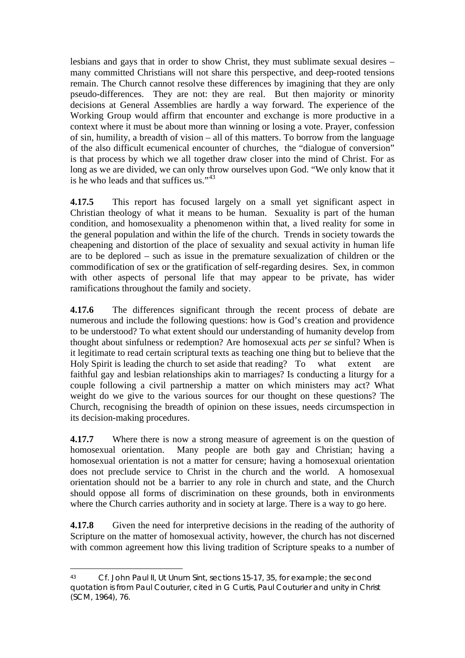lesbians and gays that in order to show Christ, they must sublimate sexual desires – many committed Christians will not share this perspective, and deep-rooted tensions remain. The Church cannot resolve these differences by imagining that they are only pseudo-differences. They are not: they are real. But then majority or minority decisions at General Assemblies are hardly a way forward. The experience of the Working Group would affirm that encounter and exchange is more productive in a context where it must be about more than winning or losing a vote. Prayer, confession of sin, humility, a breadth of vision – all of this matters. To borrow from the language of the also difficult ecumenical encounter of churches, the "dialogue of conversion" is that process by which we all together draw closer into the mind of Christ. For as long as we are divided, we can only throw ourselves upon God. "We only know that it is he who leads and that suffices us."<sup>[43](#page-35-0)</sup>

**4.17.5** This report has focused largely on a small yet significant aspect in Christian theology of what it means to be human. Sexuality is part of the human condition, and homosexuality a phenomenon within that, a lived reality for some in the general population and within the life of the church. Trends in society towards the cheapening and distortion of the place of sexuality and sexual activity in human life are to be deplored – such as issue in the premature sexualization of children or the commodification of sex or the gratification of self-regarding desires. Sex, in common with other aspects of personal life that may appear to be private, has wider ramifications throughout the family and society.

**4.17.6** The differences significant through the recent process of debate are numerous and include the following questions: how is God's creation and providence to be understood? To what extent should our understanding of humanity develop from thought about sinfulness or redemption? Are homosexual acts *per se* sinful? When is it legitimate to read certain scriptural texts as teaching one thing but to believe that the Holy Spirit is leading the church to set aside that reading? To what extent are faithful gay and lesbian relationships akin to marriages? Is conducting a liturgy for a couple following a civil partnership a matter on which ministers may act? What weight do we give to the various sources for our thought on these questions? The Church, recognising the breadth of opinion on these issues, needs circumspection in its decision-making procedures.

**4.17.7** Where there is now a strong measure of agreement is on the question of homosexual orientation. Many people are both gay and Christian; having a homosexual orientation is not a matter for censure; having a homosexual orientation does not preclude service to Christ in the church and the world. A homosexual orientation should not be a barrier to any role in church and state, and the Church should oppose all forms of discrimination on these grounds, both in environments where the Church carries authority and in society at large. There is a way to go here.

**4.17.8** Given the need for interpretive decisions in the reading of the authority of Scripture on the matter of homosexual activity, however, the church has not discerned with common agreement how this living tradition of Scripture speaks to a number of

<span id="page-35-0"></span><sup>1</sup> 43 Cf. John Paul II, *Ut Unum Sint*, sections 15-17, 35, for example; the second quotation is from Paul Couturier, cited in G Curtis, *Paul Couturier and unity in Christ* (SCM, 1964), 76.